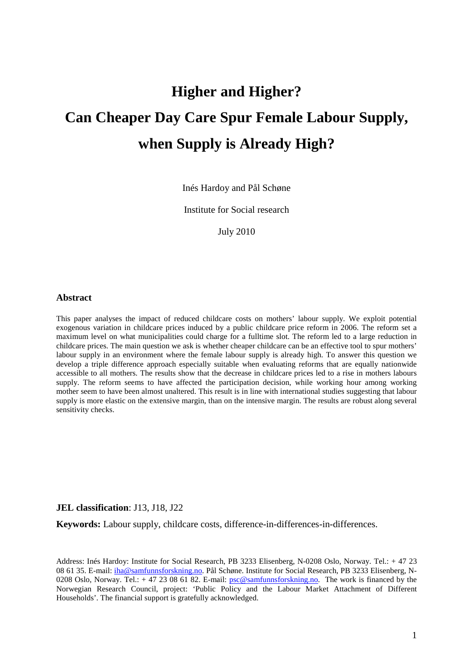# **Higher and Higher? Can Cheaper Day Care Spur Female Labour Supply, when Supply is Already High?**

Inés Hardoy and Pål Schøne

Institute for Social research

July 2010

#### **Abstract**

This paper analyses the impact of reduced childcare costs on mothers' labour supply. We exploit potential exogenous variation in childcare prices induced by a public childcare price reform in 2006. The reform set a maximum level on what municipalities could charge for a fulltime slot. The reform led to a large reduction in childcare prices. The main question we ask is whether cheaper childcare can be an effective tool to spur mothers' labour supply in an environment where the female labour supply is already high. To answer this question we develop a triple difference approach especially suitable when evaluating reforms that are equally nationwide accessible to all mothers. The results show that the decrease in childcare prices led to a rise in mothers labours supply. The reform seems to have affected the participation decision, while working hour among working mother seem to have been almost unaltered. This result is in line with international studies suggesting that labour supply is more elastic on the extensive margin, than on the intensive margin. The results are robust along several sensitivity checks.

#### **JEL classification**: J13, J18, J22

**Keywords:** Labour supply, childcare costs, difference-in-differences-in-differences.

Address: Inés Hardoy: Institute for Social Research, PB 3233 Elisenberg, N-0208 Oslo, Norway. Tel.: + 47 23 08 61 35. E-mail: iha@samfunnsforskning.no. Pål Schøne. Institute for Social Research, PB 3233 Elisenberg, N-0208 Oslo, Norway. Tel.: + 47 23 08 61 82. E-mail: psc@samfunnsforskning.no. The work is financed by the Norwegian Research Council, project: 'Public Policy and the Labour Market Attachment of Different Households'. The financial support is gratefully acknowledged.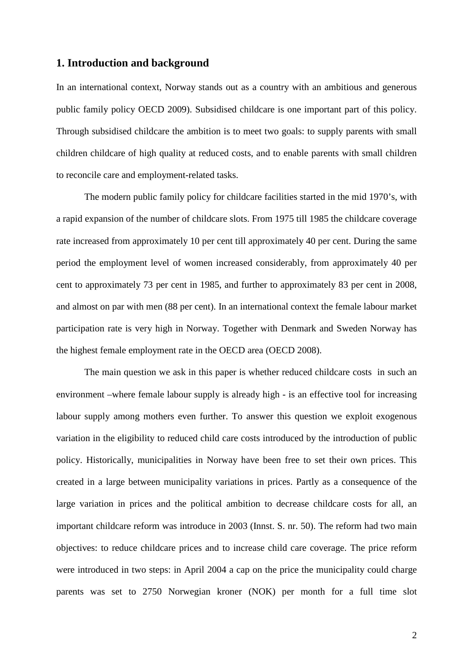# **1. Introduction and background**

In an international context, Norway stands out as a country with an ambitious and generous public family policy OECD 2009). Subsidised childcare is one important part of this policy. Through subsidised childcare the ambition is to meet two goals: to supply parents with small children childcare of high quality at reduced costs, and to enable parents with small children to reconcile care and employment-related tasks.

 The modern public family policy for childcare facilities started in the mid 1970's, with a rapid expansion of the number of childcare slots. From 1975 till 1985 the childcare coverage rate increased from approximately 10 per cent till approximately 40 per cent. During the same period the employment level of women increased considerably, from approximately 40 per cent to approximately 73 per cent in 1985, and further to approximately 83 per cent in 2008, and almost on par with men (88 per cent). In an international context the female labour market participation rate is very high in Norway. Together with Denmark and Sweden Norway has the highest female employment rate in the OECD area (OECD 2008).

 The main question we ask in this paper is whether reduced childcare costs in such an environment –where female labour supply is already high - is an effective tool for increasing labour supply among mothers even further. To answer this question we exploit exogenous variation in the eligibility to reduced child care costs introduced by the introduction of public policy. Historically, municipalities in Norway have been free to set their own prices. This created in a large between municipality variations in prices. Partly as a consequence of the large variation in prices and the political ambition to decrease childcare costs for all, an important childcare reform was introduce in 2003 (Innst. S. nr. 50). The reform had two main objectives: to reduce childcare prices and to increase child care coverage. The price reform were introduced in two steps: in April 2004 a cap on the price the municipality could charge parents was set to 2750 Norwegian kroner (NOK) per month for a full time slot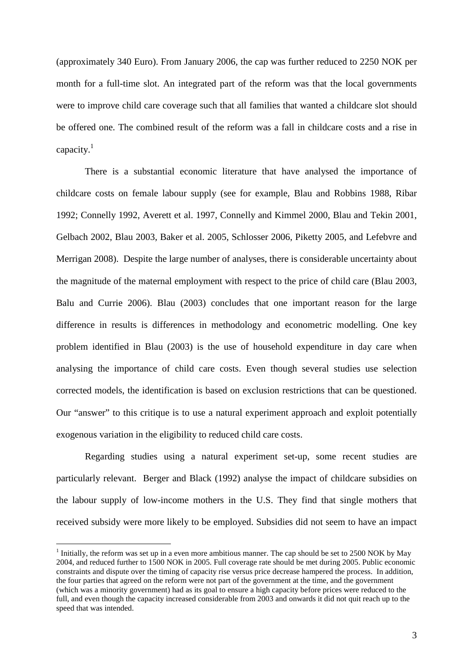(approximately 340 Euro). From January 2006, the cap was further reduced to 2250 NOK per month for a full-time slot. An integrated part of the reform was that the local governments were to improve child care coverage such that all families that wanted a childcare slot should be offered one. The combined result of the reform was a fall in childcare costs and a rise in capacity. $1$ 

There is a substantial economic literature that have analysed the importance of childcare costs on female labour supply (see for example, Blau and Robbins 1988, Ribar 1992; Connelly 1992, Averett et al. 1997, Connelly and Kimmel 2000, Blau and Tekin 2001, Gelbach 2002, Blau 2003, Baker et al. 2005, Schlosser 2006, Piketty 2005, and Lefebvre and Merrigan 2008). Despite the large number of analyses, there is considerable uncertainty about the magnitude of the maternal employment with respect to the price of child care (Blau 2003, Balu and Currie 2006). Blau (2003) concludes that one important reason for the large difference in results is differences in methodology and econometric modelling. One key problem identified in Blau (2003) is the use of household expenditure in day care when analysing the importance of child care costs. Even though several studies use selection corrected models, the identification is based on exclusion restrictions that can be questioned. Our "answer" to this critique is to use a natural experiment approach and exploit potentially exogenous variation in the eligibility to reduced child care costs.

Regarding studies using a natural experiment set-up, some recent studies are particularly relevant. Berger and Black (1992) analyse the impact of childcare subsidies on the labour supply of low-income mothers in the U.S. They find that single mothers that received subsidy were more likely to be employed. Subsidies did not seem to have an impact

 $\overline{a}$ 

 $<sup>1</sup>$  Initially, the reform was set up in a even more ambitious manner. The cap should be set to 2500 NOK by May</sup> 2004, and reduced further to 1500 NOK in 2005. Full coverage rate should be met during 2005. Public economic constraints and dispute over the timing of capacity rise versus price decrease hampered the process. In addition, the four parties that agreed on the reform were not part of the government at the time, and the government (which was a minority government) had as its goal to ensure a high capacity before prices were reduced to the full, and even though the capacity increased considerable from 2003 and onwards it did not quit reach up to the speed that was intended.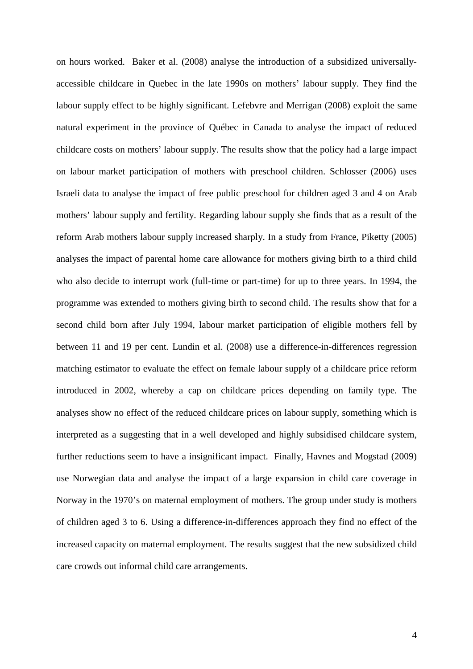on hours worked. Baker et al. (2008) analyse the introduction of a subsidized universallyaccessible childcare in Quebec in the late 1990s on mothers' labour supply. They find the labour supply effect to be highly significant. Lefebvre and Merrigan (2008) exploit the same natural experiment in the province of Québec in Canada to analyse the impact of reduced childcare costs on mothers' labour supply. The results show that the policy had a large impact on labour market participation of mothers with preschool children. Schlosser (2006) uses Israeli data to analyse the impact of free public preschool for children aged 3 and 4 on Arab mothers' labour supply and fertility. Regarding labour supply she finds that as a result of the reform Arab mothers labour supply increased sharply. In a study from France, Piketty (2005) analyses the impact of parental home care allowance for mothers giving birth to a third child who also decide to interrupt work (full-time or part-time) for up to three years. In 1994, the programme was extended to mothers giving birth to second child. The results show that for a second child born after July 1994, labour market participation of eligible mothers fell by between 11 and 19 per cent. Lundin et al. (2008) use a difference-in-differences regression matching estimator to evaluate the effect on female labour supply of a childcare price reform introduced in 2002, whereby a cap on childcare prices depending on family type. The analyses show no effect of the reduced childcare prices on labour supply, something which is interpreted as a suggesting that in a well developed and highly subsidised childcare system, further reductions seem to have a insignificant impact. Finally, Havnes and Mogstad (2009) use Norwegian data and analyse the impact of a large expansion in child care coverage in Norway in the 1970's on maternal employment of mothers. The group under study is mothers of children aged 3 to 6. Using a difference-in-differences approach they find no effect of the increased capacity on maternal employment. The results suggest that the new subsidized child care crowds out informal child care arrangements.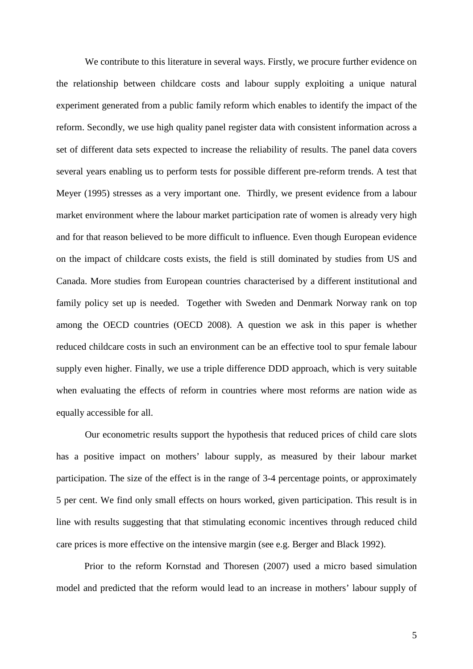We contribute to this literature in several ways. Firstly, we procure further evidence on the relationship between childcare costs and labour supply exploiting a unique natural experiment generated from a public family reform which enables to identify the impact of the reform. Secondly, we use high quality panel register data with consistent information across a set of different data sets expected to increase the reliability of results. The panel data covers several years enabling us to perform tests for possible different pre-reform trends. A test that Meyer (1995) stresses as a very important one. Thirdly, we present evidence from a labour market environment where the labour market participation rate of women is already very high and for that reason believed to be more difficult to influence. Even though European evidence on the impact of childcare costs exists, the field is still dominated by studies from US and Canada. More studies from European countries characterised by a different institutional and family policy set up is needed. Together with Sweden and Denmark Norway rank on top among the OECD countries (OECD 2008). A question we ask in this paper is whether reduced childcare costs in such an environment can be an effective tool to spur female labour supply even higher. Finally, we use a triple difference DDD approach, which is very suitable when evaluating the effects of reform in countries where most reforms are nation wide as equally accessible for all.

Our econometric results support the hypothesis that reduced prices of child care slots has a positive impact on mothers' labour supply, as measured by their labour market participation. The size of the effect is in the range of 3-4 percentage points, or approximately 5 per cent. We find only small effects on hours worked, given participation. This result is in line with results suggesting that that stimulating economic incentives through reduced child care prices is more effective on the intensive margin (see e.g. Berger and Black 1992).

Prior to the reform Kornstad and Thoresen (2007) used a micro based simulation model and predicted that the reform would lead to an increase in mothers' labour supply of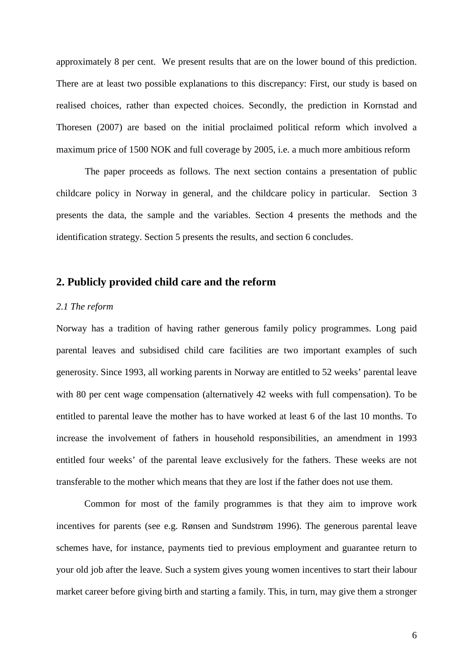approximately 8 per cent. We present results that are on the lower bound of this prediction. There are at least two possible explanations to this discrepancy: First, our study is based on realised choices, rather than expected choices. Secondly, the prediction in Kornstad and Thoresen (2007) are based on the initial proclaimed political reform which involved a maximum price of 1500 NOK and full coverage by 2005, i.e. a much more ambitious reform

The paper proceeds as follows. The next section contains a presentation of public childcare policy in Norway in general, and the childcare policy in particular. Section 3 presents the data, the sample and the variables. Section 4 presents the methods and the identification strategy. Section 5 presents the results, and section 6 concludes.

# **2. Publicly provided child care and the reform**

#### *2.1 The reform*

Norway has a tradition of having rather generous family policy programmes. Long paid parental leaves and subsidised child care facilities are two important examples of such generosity. Since 1993, all working parents in Norway are entitled to 52 weeks' parental leave with 80 per cent wage compensation (alternatively 42 weeks with full compensation). To be entitled to parental leave the mother has to have worked at least 6 of the last 10 months. To increase the involvement of fathers in household responsibilities, an amendment in 1993 entitled four weeks' of the parental leave exclusively for the fathers. These weeks are not transferable to the mother which means that they are lost if the father does not use them.

Common for most of the family programmes is that they aim to improve work incentives for parents (see e.g. Rønsen and Sundstrøm 1996). The generous parental leave schemes have, for instance, payments tied to previous employment and guarantee return to your old job after the leave. Such a system gives young women incentives to start their labour market career before giving birth and starting a family. This, in turn, may give them a stronger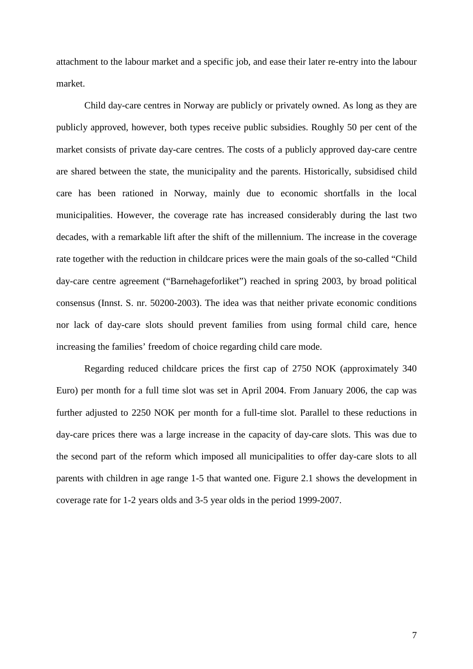attachment to the labour market and a specific job, and ease their later re-entry into the labour market.

Child day-care centres in Norway are publicly or privately owned. As long as they are publicly approved, however, both types receive public subsidies. Roughly 50 per cent of the market consists of private day-care centres. The costs of a publicly approved day-care centre are shared between the state, the municipality and the parents. Historically, subsidised child care has been rationed in Norway, mainly due to economic shortfalls in the local municipalities. However, the coverage rate has increased considerably during the last two decades, with a remarkable lift after the shift of the millennium. The increase in the coverage rate together with the reduction in childcare prices were the main goals of the so-called "Child day-care centre agreement ("Barnehageforliket") reached in spring 2003, by broad political consensus (Innst. S. nr. 50200-2003). The idea was that neither private economic conditions nor lack of day-care slots should prevent families from using formal child care, hence increasing the families' freedom of choice regarding child care mode.

Regarding reduced childcare prices the first cap of 2750 NOK (approximately 340 Euro) per month for a full time slot was set in April 2004. From January 2006, the cap was further adjusted to 2250 NOK per month for a full-time slot. Parallel to these reductions in day-care prices there was a large increase in the capacity of day-care slots. This was due to the second part of the reform which imposed all municipalities to offer day-care slots to all parents with children in age range 1-5 that wanted one. Figure 2.1 shows the development in coverage rate for 1-2 years olds and 3-5 year olds in the period 1999-2007.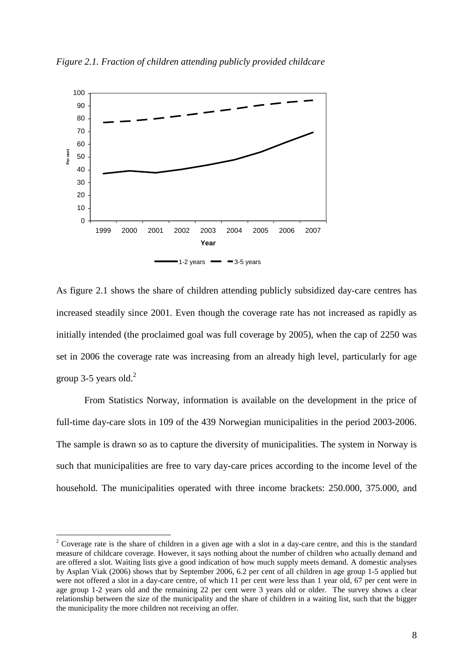

*Figure 2.1. Fraction of children attending publicly provided childcare* 

As figure 2.1 shows the share of children attending publicly subsidized day-care centres has increased steadily since 2001. Even though the coverage rate has not increased as rapidly as initially intended (the proclaimed goal was full coverage by 2005), when the cap of 2250 was set in 2006 the coverage rate was increasing from an already high level, particularly for age group 3-5 years old. $^{2}$ 

 From Statistics Norway, information is available on the development in the price of full-time day-care slots in 109 of the 439 Norwegian municipalities in the period 2003-2006. The sample is drawn so as to capture the diversity of municipalities. The system in Norway is such that municipalities are free to vary day-care prices according to the income level of the household. The municipalities operated with three income brackets: 250.000, 375.000, and

 $\overline{a}$ 

<sup>&</sup>lt;sup>2</sup> Coverage rate is the share of children in a given age with a slot in a day-care centre, and this is the standard measure of childcare coverage. However, it says nothing about the number of children who actually demand and are offered a slot. Waiting lists give a good indication of how much supply meets demand. A domestic analyses by Asplan Viak (2006) shows that by September 2006, 6.2 per cent of all children in age group 1-5 applied but were not offered a slot in a day-care centre, of which 11 per cent were less than 1 year old, 67 per cent were in age group 1-2 years old and the remaining 22 per cent were 3 years old or older. The survey shows a clear relationship between the size of the municipality and the share of children in a waiting list, such that the bigger the municipality the more children not receiving an offer.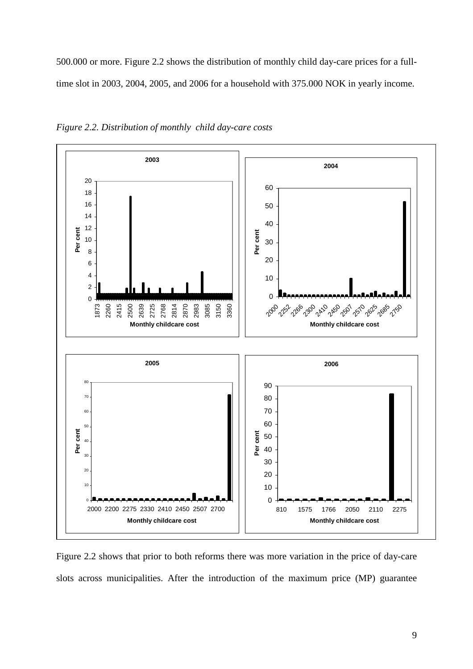500.000 or more. Figure 2.2 shows the distribution of monthly child day-care prices for a fulltime slot in 2003, 2004, 2005, and 2006 for a household with 375.000 NOK in yearly income.



*Figure 2.2. Distribution of monthly child day-care costs* 

Figure 2.2 shows that prior to both reforms there was more variation in the price of day-care slots across municipalities. After the introduction of the maximum price (MP) guarantee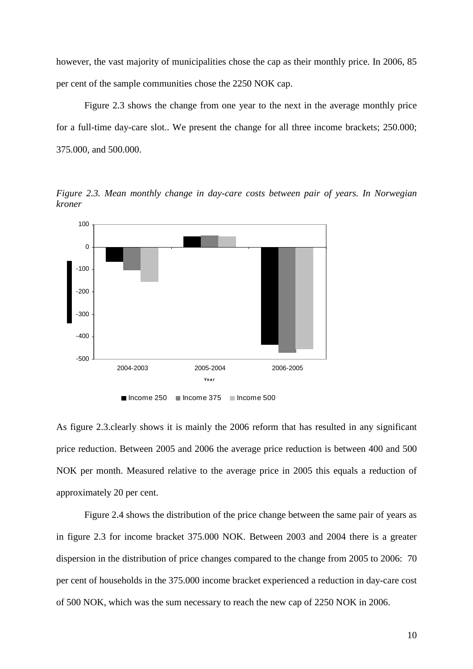however, the vast majority of municipalities chose the cap as their monthly price. In 2006, 85 per cent of the sample communities chose the 2250 NOK cap.

Figure 2.3 shows the change from one year to the next in the average monthly price for a full-time day-care slot.. We present the change for all three income brackets; 250.000; 375.000, and 500.000.

*Figure 2.3. Mean monthly change in day-care costs between pair of years. In Norwegian kroner* 



As figure 2.3.clearly shows it is mainly the 2006 reform that has resulted in any significant price reduction. Between 2005 and 2006 the average price reduction is between 400 and 500 NOK per month. Measured relative to the average price in 2005 this equals a reduction of approximately 20 per cent.

 Figure 2.4 shows the distribution of the price change between the same pair of years as in figure 2.3 for income bracket 375.000 NOK. Between 2003 and 2004 there is a greater dispersion in the distribution of price changes compared to the change from 2005 to 2006: 70 per cent of households in the 375.000 income bracket experienced a reduction in day-care cost of 500 NOK, which was the sum necessary to reach the new cap of 2250 NOK in 2006.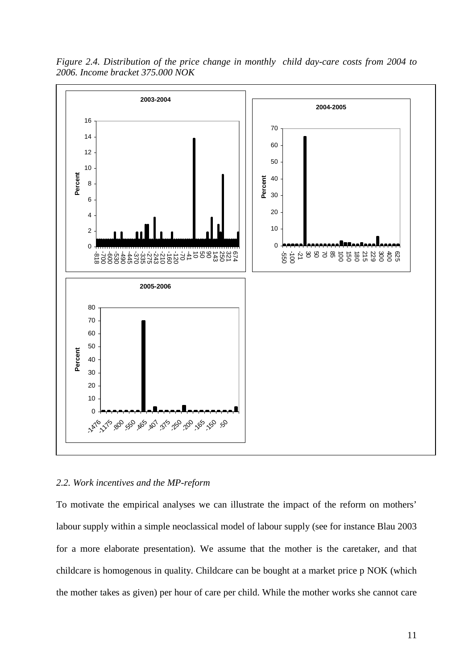

*Figure 2.4. Distribution of the price change in monthly child day-care costs from 2004 to 2006. Income bracket 375.000 NOK* 

#### *2.2. Work incentives and the MP-reform*

To motivate the empirical analyses we can illustrate the impact of the reform on mothers' labour supply within a simple neoclassical model of labour supply (see for instance Blau 2003 for a more elaborate presentation). We assume that the mother is the caretaker, and that childcare is homogenous in quality. Childcare can be bought at a market price p NOK (which the mother takes as given) per hour of care per child. While the mother works she cannot care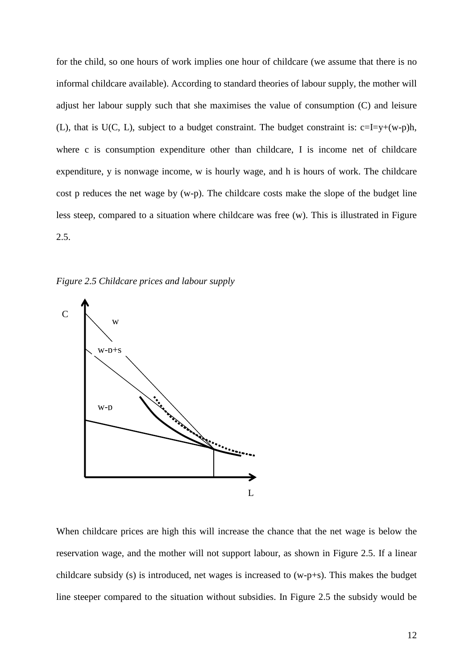for the child, so one hours of work implies one hour of childcare (we assume that there is no informal childcare available). According to standard theories of labour supply, the mother will adjust her labour supply such that she maximises the value of consumption (C) and leisure (L), that is U(C, L), subject to a budget constraint. The budget constraint is:  $c=I=y+(w-p)h$ , where c is consumption expenditure other than childcare, I is income net of childcare expenditure, y is nonwage income, w is hourly wage, and h is hours of work. The childcare cost p reduces the net wage by (w-p). The childcare costs make the slope of the budget line less steep, compared to a situation where childcare was free (w). This is illustrated in Figure 2.5.

*Figure 2.5 Childcare prices and labour supply* 



When childcare prices are high this will increase the chance that the net wage is below the reservation wage, and the mother will not support labour, as shown in Figure 2.5. If a linear childcare subsidy (s) is introduced, net wages is increased to (w-p+s). This makes the budget line steeper compared to the situation without subsidies. In Figure 2.5 the subsidy would be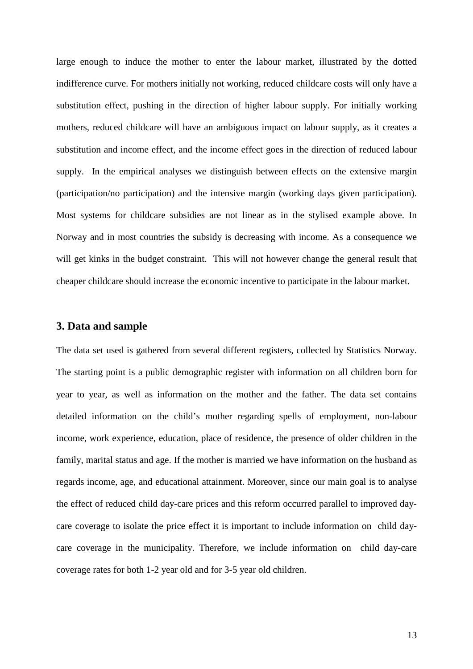large enough to induce the mother to enter the labour market, illustrated by the dotted indifference curve. For mothers initially not working, reduced childcare costs will only have a substitution effect, pushing in the direction of higher labour supply. For initially working mothers, reduced childcare will have an ambiguous impact on labour supply, as it creates a substitution and income effect, and the income effect goes in the direction of reduced labour supply. In the empirical analyses we distinguish between effects on the extensive margin (participation/no participation) and the intensive margin (working days given participation). Most systems for childcare subsidies are not linear as in the stylised example above. In Norway and in most countries the subsidy is decreasing with income. As a consequence we will get kinks in the budget constraint. This will not however change the general result that cheaper childcare should increase the economic incentive to participate in the labour market.

# **3. Data and sample**

The data set used is gathered from several different registers, collected by Statistics Norway. The starting point is a public demographic register with information on all children born for year to year, as well as information on the mother and the father. The data set contains detailed information on the child's mother regarding spells of employment, non-labour income, work experience, education, place of residence, the presence of older children in the family, marital status and age. If the mother is married we have information on the husband as regards income, age, and educational attainment. Moreover, since our main goal is to analyse the effect of reduced child day-care prices and this reform occurred parallel to improved daycare coverage to isolate the price effect it is important to include information on child daycare coverage in the municipality. Therefore, we include information on child day-care coverage rates for both 1-2 year old and for 3-5 year old children.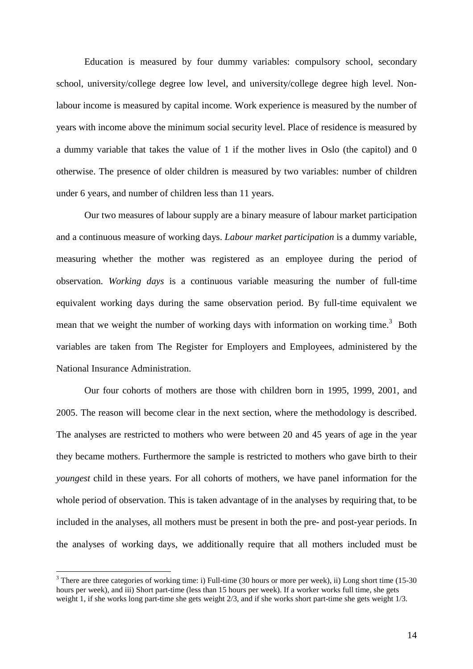Education is measured by four dummy variables: compulsory school, secondary school, university/college degree low level, and university/college degree high level. Nonlabour income is measured by capital income. Work experience is measured by the number of years with income above the minimum social security level. Place of residence is measured by a dummy variable that takes the value of 1 if the mother lives in Oslo (the capitol) and 0 otherwise. The presence of older children is measured by two variables: number of children under 6 years, and number of children less than 11 years.

 Our two measures of labour supply are a binary measure of labour market participation and a continuous measure of working days. *Labour market participation* is a dummy variable, measuring whether the mother was registered as an employee during the period of observation. *Working days* is a continuous variable measuring the number of full-time equivalent working days during the same observation period. By full-time equivalent we mean that we weight the number of working days with information on working time.<sup>3</sup> Both variables are taken from The Register for Employers and Employees, administered by the National Insurance Administration.

 Our four cohorts of mothers are those with children born in 1995, 1999, 2001, and 2005. The reason will become clear in the next section, where the methodology is described. The analyses are restricted to mothers who were between 20 and 45 years of age in the year they became mothers. Furthermore the sample is restricted to mothers who gave birth to their *youngest* child in these years. For all cohorts of mothers, we have panel information for the whole period of observation. This is taken advantage of in the analyses by requiring that, to be included in the analyses, all mothers must be present in both the pre- and post-year periods. In the analyses of working days, we additionally require that all mothers included must be

 $\overline{a}$ 

 $3$  There are three categories of working time: i) Full-time (30 hours or more per week), ii) Long short time (15-30) hours per week), and iii) Short part-time (less than 15 hours per week). If a worker works full time, she gets weight 1, if she works long part-time she gets weight 2/3, and if she works short part-time she gets weight 1/3.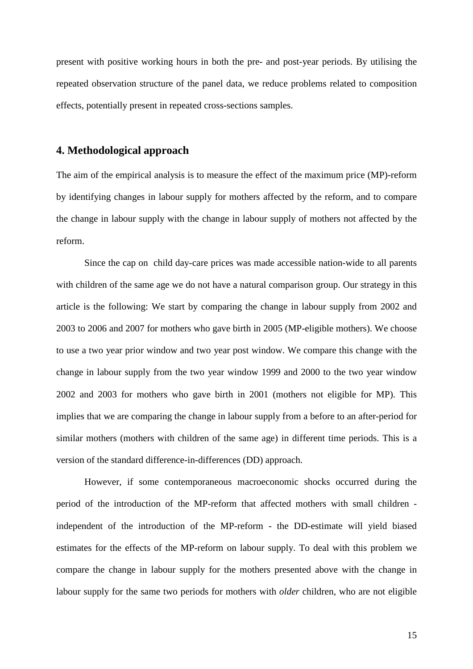present with positive working hours in both the pre- and post-year periods. By utilising the repeated observation structure of the panel data, we reduce problems related to composition effects, potentially present in repeated cross-sections samples.

## **4. Methodological approach**

The aim of the empirical analysis is to measure the effect of the maximum price (MP)-reform by identifying changes in labour supply for mothers affected by the reform, and to compare the change in labour supply with the change in labour supply of mothers not affected by the reform.

Since the cap on child day-care prices was made accessible nation-wide to all parents with children of the same age we do not have a natural comparison group. Our strategy in this article is the following: We start by comparing the change in labour supply from 2002 and 2003 to 2006 and 2007 for mothers who gave birth in 2005 (MP-eligible mothers). We choose to use a two year prior window and two year post window. We compare this change with the change in labour supply from the two year window 1999 and 2000 to the two year window 2002 and 2003 for mothers who gave birth in 2001 (mothers not eligible for MP). This implies that we are comparing the change in labour supply from a before to an after-period for similar mothers (mothers with children of the same age) in different time periods. This is a version of the standard difference-in-differences (DD) approach.

However, if some contemporaneous macroeconomic shocks occurred during the period of the introduction of the MP-reform that affected mothers with small children independent of the introduction of the MP-reform - the DD-estimate will yield biased estimates for the effects of the MP-reform on labour supply. To deal with this problem we compare the change in labour supply for the mothers presented above with the change in labour supply for the same two periods for mothers with *older* children, who are not eligible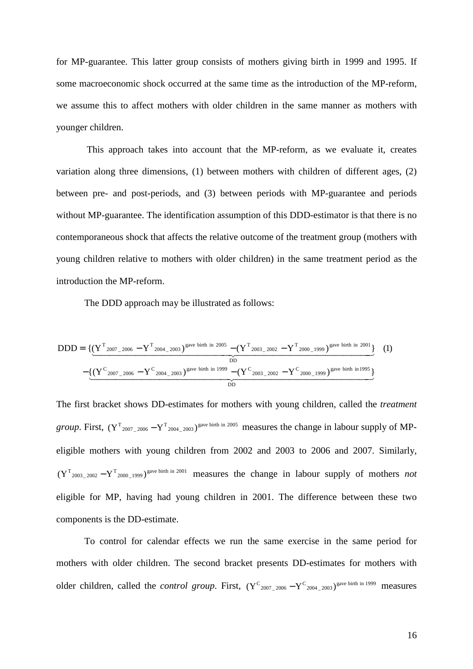for MP-guarantee. This latter group consists of mothers giving birth in 1999 and 1995. If some macroeconomic shock occurred at the same time as the introduction of the MP-reform, we assume this to affect mothers with older children in the same manner as mothers with younger children.

 This approach takes into account that the MP-reform, as we evaluate it, creates variation along three dimensions, (1) between mothers with children of different ages, (2) between pre- and post-periods, and (3) between periods with MP-guarantee and periods without MP-guarantee. The identification assumption of this DDD-estimator is that there is no contemporaneous shock that affects the relative outcome of the treatment group (mothers with young children relative to mothers with older children) in the same treatment period as the introduction the MP-reform.

The DDD approach may be illustrated as follows:

$$
DDD = \{ (\underline{Y^T_{2007\_2006} - Y^T_{2004\_2003}})^{\text{gave birth in 2005}} - (\underline{Y^T_{2003\_2002} - Y^T_{2000\_1999}})^{\text{gave birth in 2001}} \} (1)
$$

$$
- \underbrace{(\underline{Y^C_{2007\_2006} - Y^C_{2004\_2003}})^{\text{gave birth in 1999}} - (\underline{Y^C_{2003\_2002} - Y^C_{2000\_1999}})^{\text{gave birth in 1995}}}_{DD}
$$

The first bracket shows DD-estimates for mothers with young children, called the *treatment group*. First,  $(Y^{\text{T}}_{2007\_2006} - Y^{\text{T}}_{2004\_2003})^{\text{gave birth in }2005}$  measures the change in labour supply of MPeligible mothers with young children from 2002 and 2003 to 2006 and 2007. Similarly,  $(Y^{\text{T}}_{2003-2002}-Y^{\text{T}}_{2000-1999})^{\text{gave birth in 2001}}$  measures the change in labour supply of mothers *not* eligible for MP, having had young children in 2001. The difference between these two components is the DD-estimate.

To control for calendar effects we run the same exercise in the same period for mothers with older children. The second bracket presents DD-estimates for mothers with older children, called the *control group*. First,  $(Y^C_{2007\_2006} - Y^C_{2004\_2003})^{\text{gave birth in 1999}}$  measures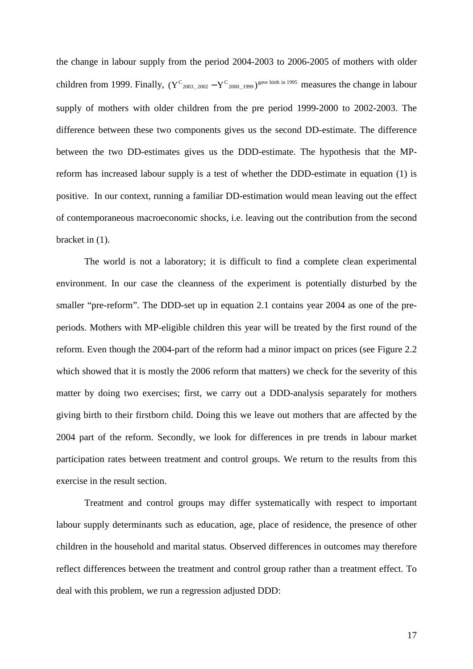the change in labour supply from the period 2004-2003 to 2006-2005 of mothers with older children from 1999. Finally,  $(Y^{\text{C}}_{2003\_2002} - Y^{\text{C}}_{2000\_1999})^{\text{gave birth in 1995}}$  measures the change in labour supply of mothers with older children from the pre period 1999-2000 to 2002-2003. The difference between these two components gives us the second DD-estimate. The difference between the two DD-estimates gives us the DDD-estimate. The hypothesis that the MPreform has increased labour supply is a test of whether the DDD-estimate in equation (1) is positive. In our context, running a familiar DD-estimation would mean leaving out the effect of contemporaneous macroeconomic shocks, i.e. leaving out the contribution from the second bracket in (1).

The world is not a laboratory; it is difficult to find a complete clean experimental environment. In our case the cleanness of the experiment is potentially disturbed by the smaller "pre-reform". The DDD-set up in equation 2.1 contains year 2004 as one of the preperiods. Mothers with MP-eligible children this year will be treated by the first round of the reform. Even though the 2004-part of the reform had a minor impact on prices (see Figure 2.2 which showed that it is mostly the 2006 reform that matters) we check for the severity of this matter by doing two exercises; first, we carry out a DDD-analysis separately for mothers giving birth to their firstborn child. Doing this we leave out mothers that are affected by the 2004 part of the reform. Secondly, we look for differences in pre trends in labour market participation rates between treatment and control groups. We return to the results from this exercise in the result section.

Treatment and control groups may differ systematically with respect to important labour supply determinants such as education, age, place of residence, the presence of other children in the household and marital status. Observed differences in outcomes may therefore reflect differences between the treatment and control group rather than a treatment effect. To deal with this problem, we run a regression adjusted DDD: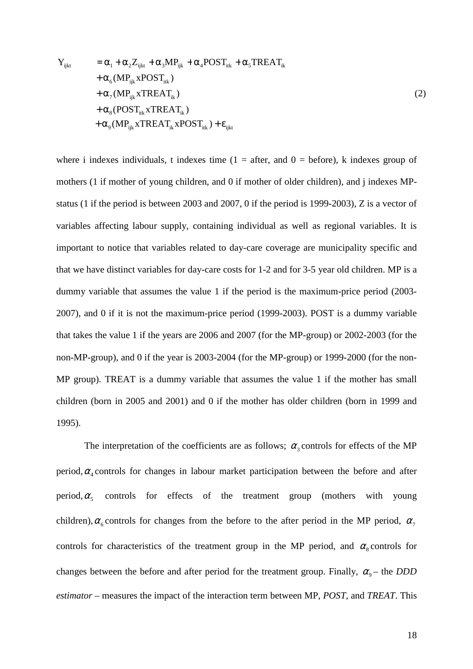$$
Y_{ijkt} = \alpha_{1} + \alpha_{2} Z_{ijkt} + \alpha_{3} MP_{ijk} + \alpha_{4} POST_{itk} + \alpha_{5} TREAT_{ik} + \alpha_{6} (MP_{ijk} xPOST_{itk}) + \alpha_{7} (MP_{ijk} x TREAT_{ik}) + \alpha_{8} (POST_{itk} x TREAT_{ik}) + \alpha_{9} (MP_{ijk} x TREAT_{ik} x POST_{itk}) + \epsilon_{ijkt}
$$
\n(2)

where i indexes individuals, t indexes time  $(1 =$  after, and  $0 =$  before), k indexes group of mothers (1 if mother of young children, and 0 if mother of older children), and j indexes MPstatus (1 if the period is between 2003 and 2007, 0 if the period is 1999-2003), Z is a vector of variables affecting labour supply, containing individual as well as regional variables. It is important to notice that variables related to day-care coverage are municipality specific and that we have distinct variables for day-care costs for 1-2 and for 3-5 year old children. MP is a dummy variable that assumes the value 1 if the period is the maximum-price period (2003- 2007), and 0 if it is not the maximum-price period (1999-2003). POST is a dummy variable that takes the value 1 if the years are 2006 and 2007 (for the MP-group) or 2002-2003 (for the non-MP-group), and 0 if the year is 2003-2004 (for the MP-group) or 1999-2000 (for the non-MP group). TREAT is a dummy variable that assumes the value 1 if the mother has small children (born in 2005 and 2001) and 0 if the mother has older children (born in 1999 and 1995).

The interpretation of the coefficients are as follows;  $\alpha_3$  controls for effects of the MP period,  $\alpha_4$  controls for changes in labour market participation between the before and after period,  $\alpha_5$  controls for effects of the treatment group (mothers with young children),  $\alpha_{6}$  controls for changes from the before to the after period in the MP period,  $\alpha_{7}$ controls for characteristics of the treatment group in the MP period, and  $\alpha_s$  controls for changes between the before and after period for the treatment group. Finally,  $\alpha_{0}$  – the *DDD estimator –* measures the impact of the interaction term between MP, *POST*, and *TREAT*. This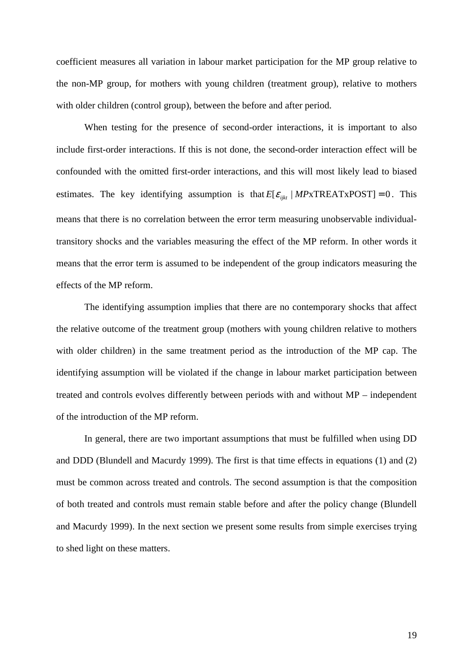coefficient measures all variation in labour market participation for the MP group relative to the non-MP group, for mothers with young children (treatment group), relative to mothers with older children (control group), between the before and after period.

When testing for the presence of second-order interactions, it is important to also include first-order interactions. If this is not done, the second-order interaction effect will be confounded with the omitted first-order interactions, and this will most likely lead to biased estimates. The key identifying assumption is that  $E[\varepsilon_{ijk} | MPxTREATxPOST] = 0$ . This means that there is no correlation between the error term measuring unobservable individualtransitory shocks and the variables measuring the effect of the MP reform. In other words it means that the error term is assumed to be independent of the group indicators measuring the effects of the MP reform.

The identifying assumption implies that there are no contemporary shocks that affect the relative outcome of the treatment group (mothers with young children relative to mothers with older children) in the same treatment period as the introduction of the MP cap. The identifying assumption will be violated if the change in labour market participation between treated and controls evolves differently between periods with and without MP – independent of the introduction of the MP reform.

In general, there are two important assumptions that must be fulfilled when using DD and DDD (Blundell and Macurdy 1999). The first is that time effects in equations (1) and (2) must be common across treated and controls. The second assumption is that the composition of both treated and controls must remain stable before and after the policy change (Blundell and Macurdy 1999). In the next section we present some results from simple exercises trying to shed light on these matters.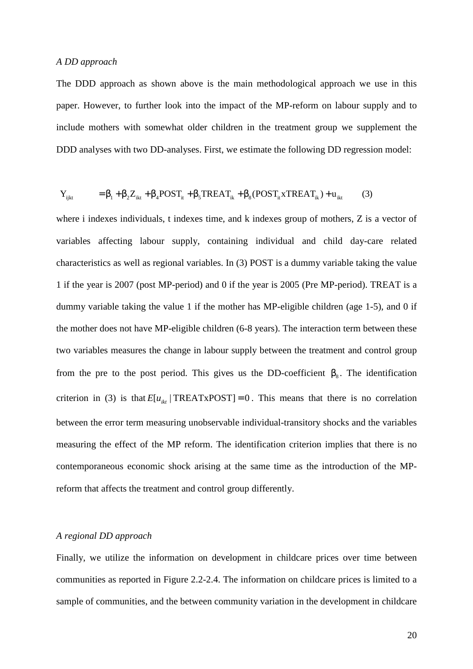#### *A DD approach*

The DDD approach as shown above is the main methodological approach we use in this paper. However, to further look into the impact of the MP-reform on labour supply and to include mothers with somewhat older children in the treatment group we supplement the DDD analyses with two DD-analyses. First, we estimate the following DD regression model:

$$
Y_{i jkt} = \beta_1 + \beta_2 Z_{ikt} + \beta_4 POST_{it} + \beta_5 TREAT_{ik} + \beta_8 (POST_{it} xTREAT_{ik}) + u_{ikt}
$$
(3)

where i indexes individuals, t indexes time, and k indexes group of mothers, Z is a vector of variables affecting labour supply, containing individual and child day-care related characteristics as well as regional variables. In (3) POST is a dummy variable taking the value 1 if the year is 2007 (post MP-period) and 0 if the year is 2005 (Pre MP-period). TREAT is a dummy variable taking the value 1 if the mother has MP-eligible children (age 1-5), and 0 if the mother does not have MP-eligible children (6-8 years). The interaction term between these two variables measures the change in labour supply between the treatment and control group from the pre to the post period. This gives us the DD-coefficient  $\beta_8$ . The identification criterion in (3) is that  $E[u_{ik}]$  TREATxPOST] = 0. This means that there is no correlation between the error term measuring unobservable individual-transitory shocks and the variables measuring the effect of the MP reform. The identification criterion implies that there is no contemporaneous economic shock arising at the same time as the introduction of the MPreform that affects the treatment and control group differently.

## *A regional DD approach*

Finally, we utilize the information on development in childcare prices over time between communities as reported in Figure 2.2-2.4. The information on childcare prices is limited to a sample of communities, and the between community variation in the development in childcare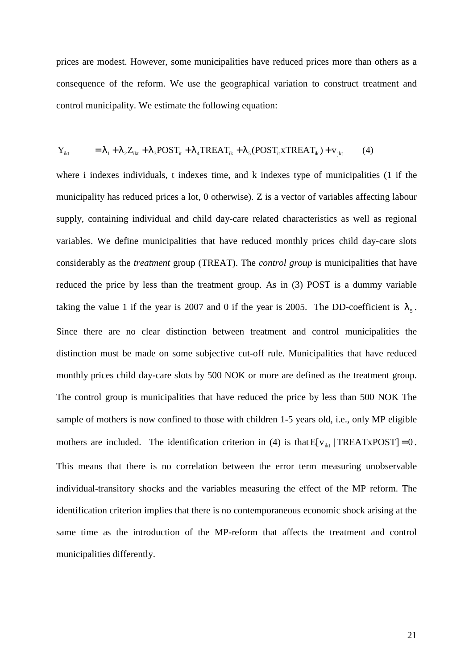prices are modest. However, some municipalities have reduced prices more than others as a consequence of the reform. We use the geographical variation to construct treatment and control municipality. We estimate the following equation:

$$
Y_{ikt} = \lambda_1 + \lambda_2 Z_{ikt} + \lambda_3 POST_{it} + \lambda_4 TREAT_{ik} + \lambda_5 (POST_{it} x T REAL_{ik}) + v_{jkt}
$$
 (4)

where i indexes individuals, t indexes time, and k indexes type of municipalities (1 if the municipality has reduced prices a lot, 0 otherwise). Z is a vector of variables affecting labour supply, containing individual and child day-care related characteristics as well as regional variables. We define municipalities that have reduced monthly prices child day-care slots considerably as the *treatment* group (TREAT). The *control group* is municipalities that have reduced the price by less than the treatment group. As in (3) POST is a dummy variable taking the value 1 if the year is 2007 and 0 if the year is 2005. The DD-coefficient is  $\lambda_5$ . Since there are no clear distinction between treatment and control municipalities the distinction must be made on some subjective cut-off rule. Municipalities that have reduced monthly prices child day-care slots by 500 NOK or more are defined as the treatment group. The control group is municipalities that have reduced the price by less than 500 NOK The sample of mothers is now confined to those with children 1-5 years old, i.e., only MP eligible mothers are included. The identification criterion in (4) is that  $E[v_{ikt} | TREATxPOST] = 0$ . This means that there is no correlation between the error term measuring unobservable individual-transitory shocks and the variables measuring the effect of the MP reform. The identification criterion implies that there is no contemporaneous economic shock arising at the same time as the introduction of the MP-reform that affects the treatment and control municipalities differently.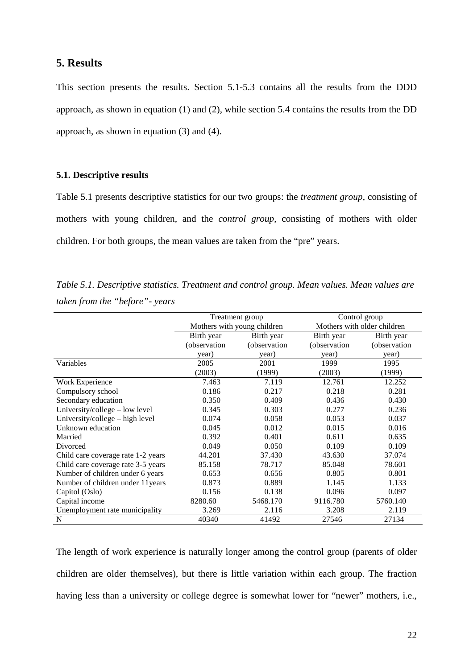# **5. Results**

This section presents the results. Section 5.1-5.3 contains all the results from the DDD approach, as shown in equation (1) and (2), while section 5.4 contains the results from the DD approach, as shown in equation (3) and (4).

## **5.1. Descriptive results**

Table 5.1 presents descriptive statistics for our two groups: the *treatment group*, consisting of mothers with young children, and the *control group*, consisting of mothers with older children. For both groups, the mean values are taken from the "pre" years.

*Table 5.1. Descriptive statistics. Treatment and control group. Mean values. Mean values are taken from the "before"- years* 

|                                    |              | Treatment group             | Control group               |              |  |
|------------------------------------|--------------|-----------------------------|-----------------------------|--------------|--|
|                                    |              | Mothers with young children | Mothers with older children |              |  |
|                                    | Birth year   | Birth year                  | Birth year                  | Birth year   |  |
|                                    | (observation | (observation                | (observation                | (observation |  |
|                                    | year)        | year)                       | year)                       | year)        |  |
| Variables                          | 2005         | 2001                        | 1999                        | 1995         |  |
|                                    | (2003)       | (1999)                      | (2003)                      | (1999)       |  |
| Work Experience                    | 7.463        | 7.119                       | 12.761                      | 12.252       |  |
| Compulsory school                  | 0.186        | 0.217                       | 0.218                       | 0.281        |  |
| Secondary education                | 0.350        | 0.409                       | 0.436                       | 0.430        |  |
| University/college – low level     | 0.345        | 0.303                       | 0.277                       | 0.236        |  |
| University/college – high level    | 0.074        | 0.058                       | 0.053                       | 0.037        |  |
| Unknown education                  | 0.045        | 0.012                       | 0.015                       | 0.016        |  |
| Married                            | 0.392        | 0.401                       | 0.611                       | 0.635        |  |
| Divorced                           | 0.049        | 0.050                       | 0.109                       | 0.109        |  |
| Child care coverage rate 1-2 years | 44.201       | 37.430                      | 43.630                      | 37.074       |  |
| Child care coverage rate 3-5 years | 85.158       | 78.717                      | 85.048                      | 78.601       |  |
| Number of children under 6 years   | 0.653        | 0.656                       | 0.805                       | 0.801        |  |
| Number of children under 11 years  | 0.873        | 0.889                       | 1.145                       | 1.133        |  |
| Capitol (Oslo)                     | 0.156        | 0.138                       | 0.096                       | 0.097        |  |
| Capital income                     | 8280.60      | 5468.170                    | 9116.780                    | 5760.140     |  |
| Unemployment rate municipality     | 3.269        | 2.116                       | 3.208                       | 2.119        |  |
| $\mathbf N$                        | 40340        | 41492                       | 27546                       | 27134        |  |

The length of work experience is naturally longer among the control group (parents of older children are older themselves), but there is little variation within each group. The fraction having less than a university or college degree is somewhat lower for "newer" mothers, i.e.,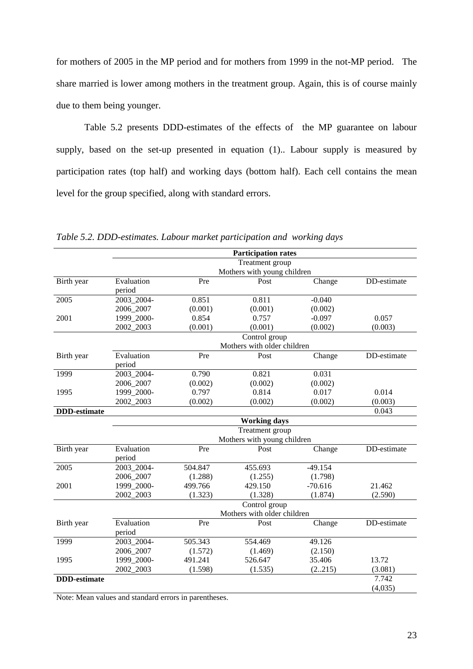for mothers of 2005 in the MP period and for mothers from 1999 in the not-MP period. The share married is lower among mothers in the treatment group. Again, this is of course mainly due to them being younger.

Table 5.2 presents DDD-estimates of the effects of the MP guarantee on labour supply, based on the set-up presented in equation (1).. Labour supply is measured by participation rates (top half) and working days (bottom half). Each cell contains the mean level for the group specified, along with standard errors.

|                     |                      |         | <b>Participation rates</b>  |           |             |
|---------------------|----------------------|---------|-----------------------------|-----------|-------------|
|                     |                      |         | Treatment group             |           |             |
|                     |                      |         | Mothers with young children |           |             |
| Birth year          | Evaluation<br>period | Pre     | Post                        | Change    | DD-estimate |
| 2005                | 2003_2004-           | 0.851   | 0.811                       | $-0.040$  |             |
|                     | 2006_2007            | (0.001) | (0.001)                     | (0.002)   |             |
| 2001                | 1999 2000-           | 0.854   | 0.757                       | $-0.097$  | 0.057       |
|                     | 2002_2003            | (0.001) | (0.001)                     | (0.002)   | (0.003)     |
|                     |                      |         | Control group               |           |             |
|                     | Evaluation           |         | Mothers with older children |           |             |
| Birth year          | period               | Pre     | Post                        | Change    | DD-estimate |
| 1999                | 2003_2004-           | 0.790   | 0.821                       | 0.031     |             |
|                     | 2006 2007            | (0.002) | (0.002)                     | (0.002)   |             |
| 1995                | 1999_2000-           | 0.797   | 0.814                       | 0.017     | 0.014       |
|                     | 2002_2003            | (0.002) | (0.002)                     | (0.002)   | (0.003)     |
| <b>DDD-estimate</b> |                      |         |                             |           | 0.043       |
|                     |                      |         | <b>Working days</b>         |           |             |
|                     |                      |         | Treatment group             |           |             |
|                     |                      |         | Mothers with young children |           |             |
| Birth year          | Evaluation<br>period | Pre     | Post                        | Change    | DD-estimate |
| 2005                | 2003_2004-           | 504.847 | 455.693                     | $-49.154$ |             |
|                     | 2006_2007            | (1.288) | (1.255)                     | (1.798)   |             |
| 2001                | 1999 2000-           | 499.766 | 429.150                     | $-70.616$ | 21.462      |
|                     | 2002_2003            | (1.323) | (1.328)                     | (1.874)   | (2.590)     |
|                     |                      |         | Control group               |           |             |
|                     |                      |         | Mothers with older children |           |             |
| Birth year          | Evaluation<br>period | Pre     | Post                        | Change    | DD-estimate |
| 1999                | 2003_2004-           | 505.343 | 554.469                     | 49.126    |             |
|                     | 2006_2007            | (1.572) | (1.469)                     | (2.150)   |             |
| 1995                | 1999_2000-           | 491.241 | 526.647                     | 35.406    | 13.72       |
|                     | 2002_2003            | (1.598) | (1.535)                     | (2215)    | (3.081)     |
| <b>DDD-estimate</b> |                      |         |                             |           | 7.742       |
|                     |                      |         |                             |           | (4,035)     |

*Table 5.2. DDD-estimates. Labour market participation and working days* 

Note: Mean values and standard errors in parentheses.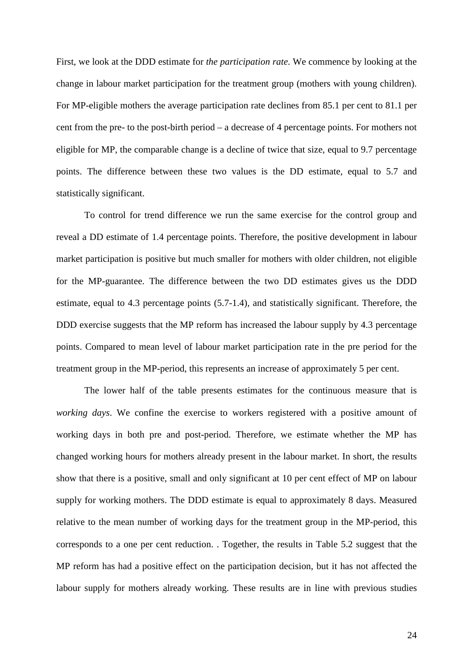First, we look at the DDD estimate for *the participation rate*. We commence by looking at the change in labour market participation for the treatment group (mothers with young children). For MP-eligible mothers the average participation rate declines from 85.1 per cent to 81.1 per cent from the pre- to the post-birth period – a decrease of 4 percentage points. For mothers not eligible for MP, the comparable change is a decline of twice that size, equal to 9.7 percentage points. The difference between these two values is the DD estimate, equal to 5.7 and statistically significant.

 To control for trend difference we run the same exercise for the control group and reveal a DD estimate of 1.4 percentage points. Therefore, the positive development in labour market participation is positive but much smaller for mothers with older children, not eligible for the MP-guarantee. The difference between the two DD estimates gives us the DDD estimate, equal to 4.3 percentage points (5.7-1.4), and statistically significant. Therefore, the DDD exercise suggests that the MP reform has increased the labour supply by 4.3 percentage points. Compared to mean level of labour market participation rate in the pre period for the treatment group in the MP-period, this represents an increase of approximately 5 per cent.

 The lower half of the table presents estimates for the continuous measure that is *working days*. We confine the exercise to workers registered with a positive amount of working days in both pre and post-period. Therefore, we estimate whether the MP has changed working hours for mothers already present in the labour market. In short, the results show that there is a positive, small and only significant at 10 per cent effect of MP on labour supply for working mothers. The DDD estimate is equal to approximately 8 days. Measured relative to the mean number of working days for the treatment group in the MP-period, this corresponds to a one per cent reduction. . Together, the results in Table 5.2 suggest that the MP reform has had a positive effect on the participation decision, but it has not affected the labour supply for mothers already working. These results are in line with previous studies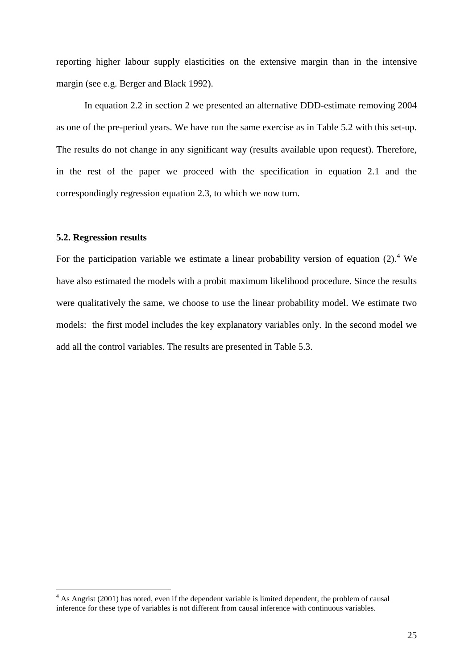reporting higher labour supply elasticities on the extensive margin than in the intensive margin (see e.g. Berger and Black 1992).

 In equation 2.2 in section 2 we presented an alternative DDD-estimate removing 2004 as one of the pre-period years. We have run the same exercise as in Table 5.2 with this set-up. The results do not change in any significant way (results available upon request). Therefore, in the rest of the paper we proceed with the specification in equation 2.1 and the correspondingly regression equation 2.3, to which we now turn.

## **5.2. Regression results**

 $\overline{a}$ 

For the participation variable we estimate a linear probability version of equation  $(2)$ .<sup>4</sup> We have also estimated the models with a probit maximum likelihood procedure. Since the results were qualitatively the same, we choose to use the linear probability model. We estimate two models: the first model includes the key explanatory variables only. In the second model we add all the control variables. The results are presented in Table 5.3.

<sup>&</sup>lt;sup>4</sup> As Angrist (2001) has noted, even if the dependent variable is limited dependent, the problem of causal inference for these type of variables is not different from causal inference with continuous variables.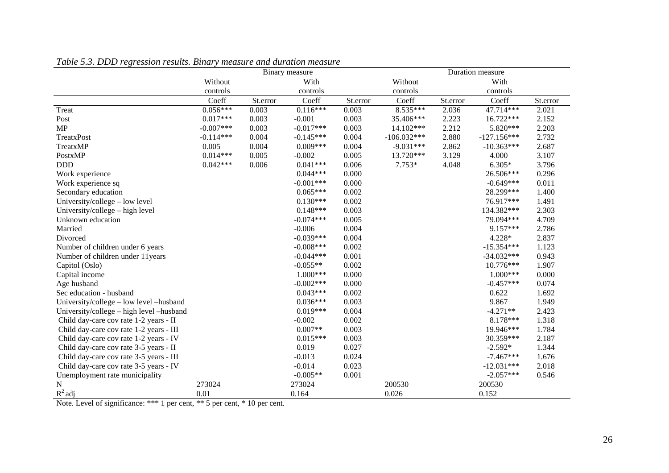|                                           | Tubic 9.9. DDD Tegression results. Dinary measure and auration measure<br>Binary measure |          |             | Duration measure |               |          |               |          |
|-------------------------------------------|------------------------------------------------------------------------------------------|----------|-------------|------------------|---------------|----------|---------------|----------|
|                                           | Without                                                                                  |          | With        |                  | Without       |          | With          |          |
|                                           | controls                                                                                 |          | controls    |                  | controls      |          | controls      |          |
|                                           | Coeff                                                                                    | St.error | Coeff       | St.error         | Coeff         | St.error | Coeff         | St.error |
| Treat                                     | $0.056***$                                                                               | 0.003    | $0.116***$  | 0.003            | 8.535***      | 2.036    | 47.714***     | 2.021    |
| Post                                      | $0.017***$                                                                               | 0.003    | $-0.001$    | 0.003            | 35.406***     | 2.223    | 16.722***     | 2.152    |
| MP                                        | $-0.007***$                                                                              | 0.003    | $-0.017***$ | 0.003            | 14.102***     | 2.212    | 5.820***      | 2.203    |
| TreatxPost                                | $-0.114***$                                                                              | 0.004    | $-0.145***$ | 0.004            | $-106.032***$ | 2.880    | $-127.156***$ | 2.732    |
| TreatxMP                                  | 0.005                                                                                    | 0.004    | $0.009***$  | 0.004            | $-9.031***$   | 2.862    | $-10.363***$  | 2.687    |
| PostxMP                                   | $0.014***$                                                                               | 0.005    | $-0.002$    | 0.005            | 13.720***     | 3.129    | 4.000         | 3.107    |
| <b>DDD</b>                                | $0.042***$                                                                               | 0.006    | $0.041***$  | 0.006            | $7.753*$      | 4.048    | $6.305*$      | 3.796    |
| Work experience                           |                                                                                          |          | $0.044***$  | 0.000            |               |          | 26.506***     | 0.296    |
| Work experience sq                        |                                                                                          |          | $-0.001***$ | 0.000            |               |          | $-0.649***$   | 0.011    |
| Secondary education                       |                                                                                          |          | $0.065***$  | 0.002            |               |          | 28.299***     | 1.400    |
| University/college – low level            |                                                                                          |          | $0.130***$  | 0.002            |               |          | 76.917***     | 1.491    |
| University/college - high level           |                                                                                          |          | $0.148***$  | 0.003            |               |          | 134.382***    | 2.303    |
| Unknown education                         |                                                                                          |          | $-0.074***$ | 0.005            |               |          | 79.094***     | 4.709    |
| Married                                   |                                                                                          |          | $-0.006$    | 0.004            |               |          | 9.157***      | 2.786    |
| Divorced                                  |                                                                                          |          | $-0.039***$ | 0.004            |               |          | 4.228*        | 2.837    |
| Number of children under 6 years          |                                                                                          |          | $-0.008***$ | 0.002            |               |          | $-15.354***$  | 1.123    |
| Number of children under 11years          |                                                                                          |          | $-0.044***$ | 0.001            |               |          | $-34.032***$  | 0.943    |
| Capitol (Oslo)                            |                                                                                          |          | $-0.055**$  | 0.002            |               |          | 10.776***     | 1.907    |
| Capital income                            |                                                                                          |          | $1.000***$  | 0.000            |               |          | $1.000***$    | 0.000    |
| Age husband                               |                                                                                          |          | $-0.002***$ | 0.000            |               |          | $-0.457***$   | 0.074    |
| Sec education - husband                   |                                                                                          |          | $0.043***$  | 0.002            |               |          | 0.622         | 1.692    |
| University/college – low level – husband  |                                                                                          |          | $0.036***$  | 0.003            |               |          | 9.867         | 1.949    |
| University/college – high level – husband |                                                                                          |          | $0.019***$  | 0.004            |               |          | $-4.271**$    | 2.423    |
| Child day-care cov rate 1-2 years - II    |                                                                                          |          | $-0.002$    | 0.002            |               |          | 8.178***      | 1.318    |
| Child day-care cov rate 1-2 years - III   |                                                                                          |          | $0.007**$   | 0.003            |               |          | 19.946***     | 1.784    |
| Child day-care cov rate 1-2 years - IV    |                                                                                          |          | $0.015***$  | 0.003            |               |          | 30.359***     | 2.187    |
| Child day-care cov rate 3-5 years - II    |                                                                                          |          | 0.019       | 0.027            |               |          | $-2.592*$     | 1.344    |
| Child day-care cov rate 3-5 years - III   |                                                                                          |          | $-0.013$    | 0.024            |               |          | $-7.467***$   | 1.676    |
| Child day-care cov rate 3-5 years - IV    |                                                                                          |          | $-0.014$    | 0.023            |               |          | $-12.031***$  | 2.018    |
| Unemployment rate municipality            |                                                                                          |          | $-0.005**$  | 0.001            |               |          | $-2.057***$   | 0.546    |
| $\overline{\text{N}}$                     | 273024                                                                                   |          | 273024      |                  | 200530        |          | 200530        |          |
| $R^2$ adj                                 | 0.01                                                                                     |          | 0.164       |                  | 0.026         |          | 0.152         |          |

#### *Table 5.3. DDD regression results. Binary measure and duration measure*

Note. Level of significance: \*\*\* 1 per cent, \*\* 5 per cent, \* 10 per cent.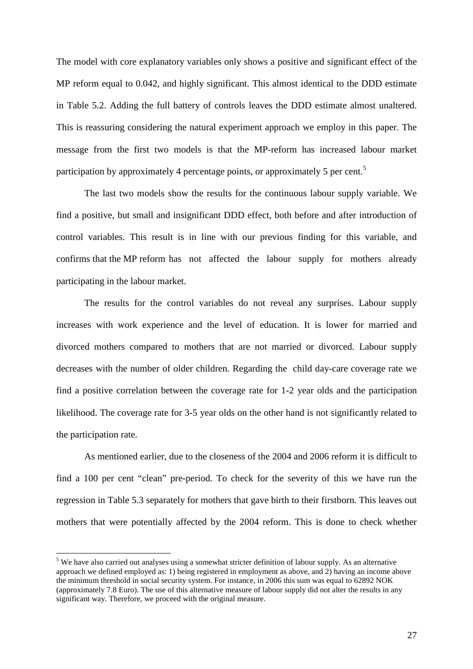The model with core explanatory variables only shows a positive and significant effect of the MP reform equal to 0.042, and highly significant. This almost identical to the DDD estimate in Table 5.2. Adding the full battery of controls leaves the DDD estimate almost unaltered. This is reassuring considering the natural experiment approach we employ in this paper. The message from the first two models is that the MP-reform has increased labour market participation by approximately 4 percentage points, or approximately 5 per cent.<sup>5</sup>

 The last two models show the results for the continuous labour supply variable. We find a positive, but small and insignificant DDD effect, both before and after introduction of control variables. This result is in line with our previous finding for this variable, and confirms that the MP reform has not affected the labour supply for mothers already participating in the labour market.

 The results for the control variables do not reveal any surprises. Labour supply increases with work experience and the level of education. It is lower for married and divorced mothers compared to mothers that are not married or divorced. Labour supply decreases with the number of older children. Regarding the child day-care coverage rate we find a positive correlation between the coverage rate for 1-2 year olds and the participation likelihood. The coverage rate for 3-5 year olds on the other hand is not significantly related to the participation rate.

 As mentioned earlier, due to the closeness of the 2004 and 2006 reform it is difficult to find a 100 per cent "clean" pre-period. To check for the severity of this we have run the regression in Table 5.3 separately for mothers that gave birth to their firstborn. This leaves out mothers that were potentially affected by the 2004 reform. This is done to check whether

 $\overline{a}$ 

 $<sup>5</sup>$  We have also carried out analyses using a somewhat stricter definition of labour supply. As an alternative</sup> approach we defined employed as: 1) being registered in employment as above, and 2) having an income above the minimum threshold in social security system. For instance, in 2006 this sum was equal to 62892 NOK (approximately 7.8 Euro). The use of this alternative measure of labour supply did not alter the results in any significant way. Therefore, we proceed with the original measure.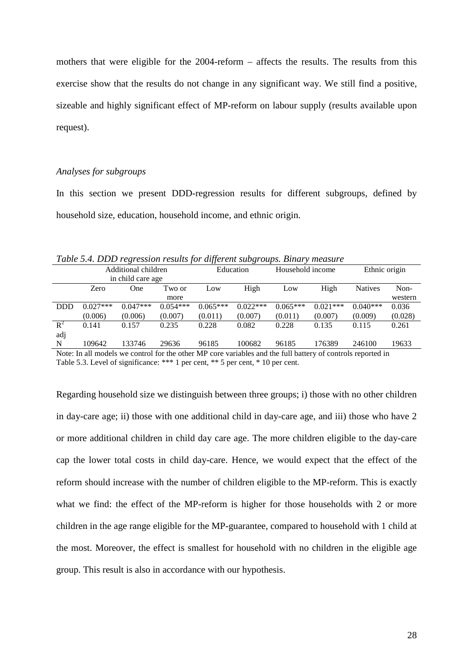mothers that were eligible for the 2004-reform – affects the results. The results from this exercise show that the results do not change in any significant way. We still find a positive, sizeable and highly significant effect of MP-reform on labour supply (results available upon request).

#### *Analyses for subgroups*

In this section we present DDD-regression results for different subgroups, defined by household size, education, household income, and ethnic origin.

*Table 5.4. DDD regression results for different subgroups. Binary measure*

|                                                                                                             |                     | ◡                 | $\cdot$    | $\cdot$    | $\cup$     |            |                  |                |               |
|-------------------------------------------------------------------------------------------------------------|---------------------|-------------------|------------|------------|------------|------------|------------------|----------------|---------------|
|                                                                                                             | Additional children |                   |            |            | Education  |            | Household income |                | Ethnic origin |
|                                                                                                             |                     | in child care age |            |            |            |            |                  |                |               |
|                                                                                                             | Zero                | One               | Two or     | Low        | High       | Low        | High             | <b>Natives</b> | Non-          |
|                                                                                                             |                     |                   | more       |            |            |            |                  |                | western       |
| <b>DDD</b>                                                                                                  | $0.027***$          | $0.047***$        | $0.054***$ | $0.065***$ | $0.022***$ | $0.065***$ | $0.021***$       | $0.040***$     | 0.036         |
|                                                                                                             | (0.006)             | (0.006)           | (0.007)    | (0.011)    | (0.007)    | (0.011)    | (0.007)          | (0.009)        | (0.028)       |
| $R^2$                                                                                                       | 0.141               | 0.157             | 0.235      | 0.228      | 0.082      | 0.228      | 0.135            | 0.115          | 0.261         |
| adj                                                                                                         |                     |                   |            |            |            |            |                  |                |               |
| N                                                                                                           | 109642              | 133746            | 29636      | 96185      | 100682     | 96185      | 176389           | 246100         | 19633         |
| Note: In all models we control for the other MP core variables and the full battery of controls reported in |                     |                   |            |            |            |            |                  |                |               |

Table 5.3. Level of significance: \*\*\* 1 per cent, \*\* 5 per cent, \* 10 per cent.

Regarding household size we distinguish between three groups; i) those with no other children in day-care age; ii) those with one additional child in day-care age, and iii) those who have 2 or more additional children in child day care age. The more children eligible to the day-care cap the lower total costs in child day-care. Hence, we would expect that the effect of the reform should increase with the number of children eligible to the MP-reform. This is exactly what we find: the effect of the MP-reform is higher for those households with 2 or more children in the age range eligible for the MP-guarantee, compared to household with 1 child at the most. Moreover, the effect is smallest for household with no children in the eligible age group. This result is also in accordance with our hypothesis.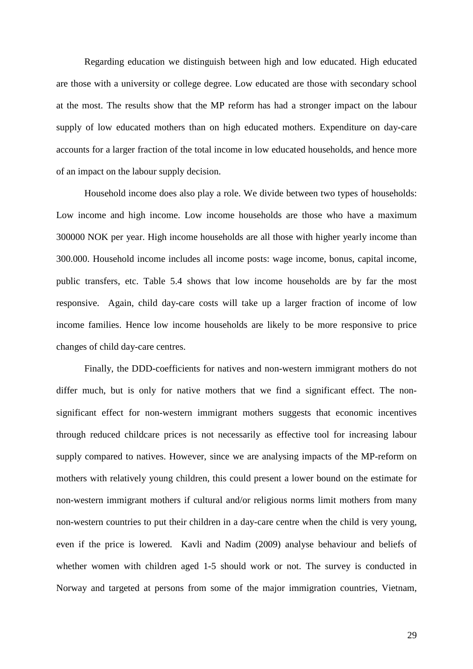Regarding education we distinguish between high and low educated. High educated are those with a university or college degree. Low educated are those with secondary school at the most. The results show that the MP reform has had a stronger impact on the labour supply of low educated mothers than on high educated mothers. Expenditure on day-care accounts for a larger fraction of the total income in low educated households, and hence more of an impact on the labour supply decision.

 Household income does also play a role. We divide between two types of households: Low income and high income. Low income households are those who have a maximum 300000 NOK per year. High income households are all those with higher yearly income than 300.000. Household income includes all income posts: wage income, bonus, capital income, public transfers, etc. Table 5.4 shows that low income households are by far the most responsive. Again, child day-care costs will take up a larger fraction of income of low income families. Hence low income households are likely to be more responsive to price changes of child day-care centres.

 Finally, the DDD-coefficients for natives and non-western immigrant mothers do not differ much, but is only for native mothers that we find a significant effect. The nonsignificant effect for non-western immigrant mothers suggests that economic incentives through reduced childcare prices is not necessarily as effective tool for increasing labour supply compared to natives. However, since we are analysing impacts of the MP-reform on mothers with relatively young children, this could present a lower bound on the estimate for non-western immigrant mothers if cultural and/or religious norms limit mothers from many non-western countries to put their children in a day-care centre when the child is very young, even if the price is lowered. Kavli and Nadim (2009) analyse behaviour and beliefs of whether women with children aged 1-5 should work or not. The survey is conducted in Norway and targeted at persons from some of the major immigration countries, Vietnam,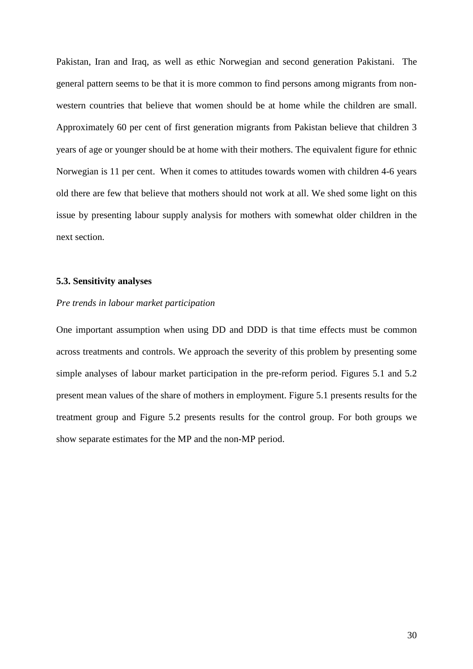Pakistan, Iran and Iraq, as well as ethic Norwegian and second generation Pakistani. The general pattern seems to be that it is more common to find persons among migrants from nonwestern countries that believe that women should be at home while the children are small. Approximately 60 per cent of first generation migrants from Pakistan believe that children 3 years of age or younger should be at home with their mothers. The equivalent figure for ethnic Norwegian is 11 per cent. When it comes to attitudes towards women with children 4-6 years old there are few that believe that mothers should not work at all. We shed some light on this issue by presenting labour supply analysis for mothers with somewhat older children in the next section.

#### **5.3. Sensitivity analyses**

#### *Pre trends in labour market participation*

One important assumption when using DD and DDD is that time effects must be common across treatments and controls. We approach the severity of this problem by presenting some simple analyses of labour market participation in the pre-reform period. Figures 5.1 and 5.2 present mean values of the share of mothers in employment. Figure 5.1 presents results for the treatment group and Figure 5.2 presents results for the control group. For both groups we show separate estimates for the MP and the non-MP period.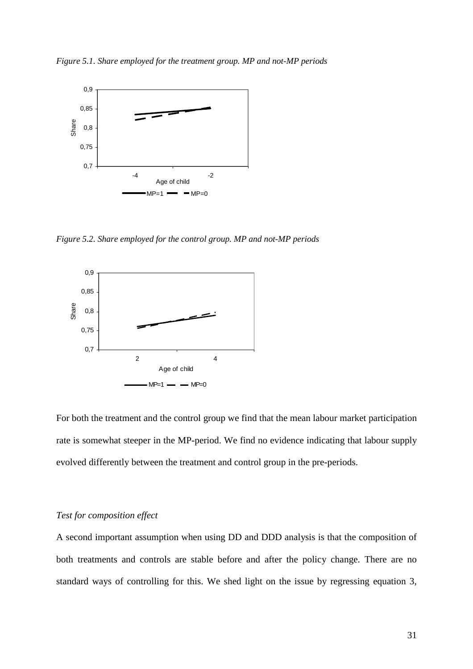*Figure 5.1. Share employed for the treatment group. MP and not-MP periods* 



*Figure 5.2. Share employed for the control group. MP and not-MP periods* 



For both the treatment and the control group we find that the mean labour market participation rate is somewhat steeper in the MP-period. We find no evidence indicating that labour supply evolved differently between the treatment and control group in the pre-periods.

#### *Test for composition effect*

A second important assumption when using DD and DDD analysis is that the composition of both treatments and controls are stable before and after the policy change. There are no standard ways of controlling for this. We shed light on the issue by regressing equation 3,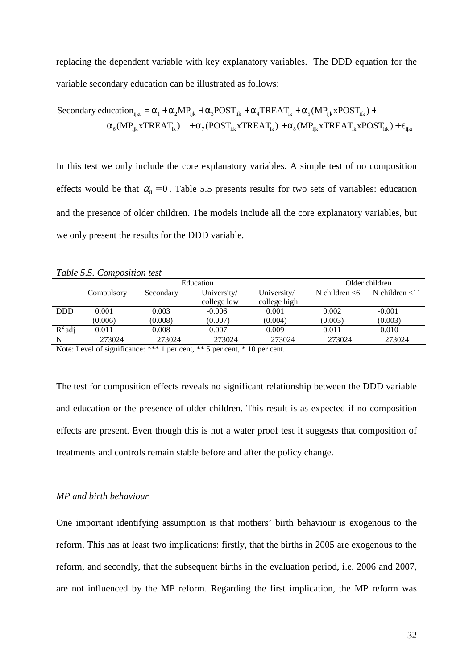replacing the dependent variable with key explanatory variables. The DDD equation for the variable secondary education can be illustrated as follows:

Secondary education<sub>ijkt</sub> = 
$$
\alpha_1 + \alpha_2 MP_{ijk} + \alpha_3 POST_{itk} + \alpha_4 TREAT_{ik} + \alpha_5 (MP_{ijk} xPOST_{itk}) +
$$
  
 $\alpha_6 (MP_{ijk} x T REAL_{ik}) + \alpha_7 (POST_{itk} x T REAL_{ik}) + \alpha_8 (MP_{ijk} x T REAL_{ik} x POST_{itk}) + \epsilon_{ijkt}$ 

In this test we only include the core explanatory variables. A simple test of no composition effects would be that  $\alpha_8 = 0$ . Table 5.5 presents results for two sets of variables: education and the presence of older children. The models include all the core explanatory variables, but we only present the results for the DDD variable.

*Table 5.5. Composition test* 

|            |            | Older children |             |              |                  |                   |
|------------|------------|----------------|-------------|--------------|------------------|-------------------|
|            | Compulsory | Secondary      | University/ | University/  | N children $<$ 6 | N children $<$ 11 |
|            |            |                | college low | college high |                  |                   |
| <b>DDD</b> | 0.001      | 0.003          | $-0.006$    | 0.001        | 0.002            | $-0.001$          |
|            | (0.006)    | (0.008)        | (0.007)     | (0.004)      | (0.003)          | (0.003)           |
| $R^2$ adj  | 0.011      | 0.008          | 0.007       | 0.009        | 0.011            | 0.010             |
| N          | 273024     | 273024         | 273024      | 273024       | 273024           | 273024            |

Note: Level of significance: \*\*\* 1 per cent, \*\* 5 per cent, \* 10 per cent.

The test for composition effects reveals no significant relationship between the DDD variable and education or the presence of older children. This result is as expected if no composition effects are present. Even though this is not a water proof test it suggests that composition of treatments and controls remain stable before and after the policy change.

# *MP and birth behaviour*

One important identifying assumption is that mothers' birth behaviour is exogenous to the reform. This has at least two implications: firstly, that the births in 2005 are exogenous to the reform, and secondly, that the subsequent births in the evaluation period, i.e. 2006 and 2007, are not influenced by the MP reform. Regarding the first implication, the MP reform was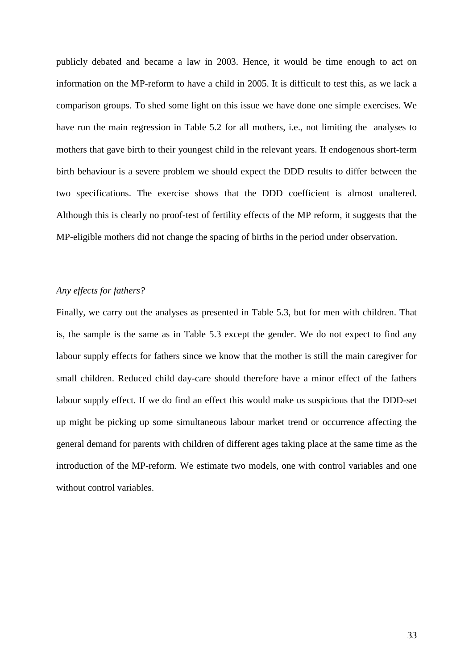publicly debated and became a law in 2003. Hence, it would be time enough to act on information on the MP-reform to have a child in 2005. It is difficult to test this, as we lack a comparison groups. To shed some light on this issue we have done one simple exercises. We have run the main regression in Table 5.2 for all mothers, i.e., not limiting the analyses to mothers that gave birth to their youngest child in the relevant years. If endogenous short-term birth behaviour is a severe problem we should expect the DDD results to differ between the two specifications. The exercise shows that the DDD coefficient is almost unaltered. Although this is clearly no proof-test of fertility effects of the MP reform, it suggests that the MP-eligible mothers did not change the spacing of births in the period under observation.

#### *Any effects for fathers?*

Finally, we carry out the analyses as presented in Table 5.3, but for men with children. That is, the sample is the same as in Table 5.3 except the gender. We do not expect to find any labour supply effects for fathers since we know that the mother is still the main caregiver for small children. Reduced child day-care should therefore have a minor effect of the fathers labour supply effect. If we do find an effect this would make us suspicious that the DDD-set up might be picking up some simultaneous labour market trend or occurrence affecting the general demand for parents with children of different ages taking place at the same time as the introduction of the MP-reform. We estimate two models, one with control variables and one without control variables.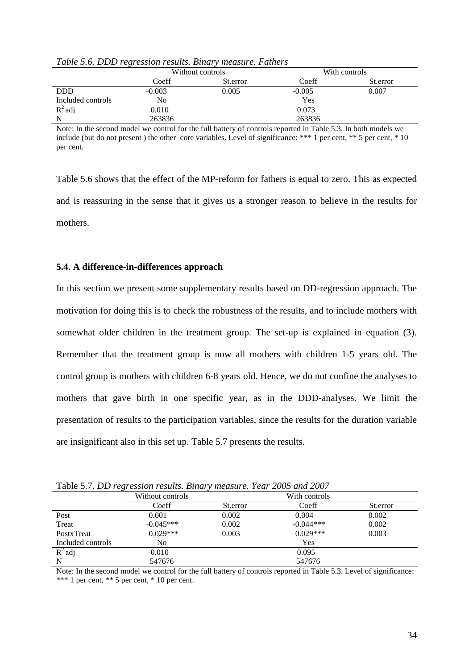|                   | Without controls |          | With controls |          |  |
|-------------------|------------------|----------|---------------|----------|--|
|                   | Coeff            | St.error |               | St.error |  |
| <b>DDD</b>        | $-0.003$         | 0.005    | $-0.005$      | 0.007    |  |
| Included controls | No               |          | Yes           |          |  |
| $R^2$ adj         | 0.010            |          | 0.073         |          |  |
| N                 | 263836           |          | 263836        |          |  |

*Table 5.6. DDD regression results. Binary measure. Fathers* 

Note: In the second model we control for the full battery of controls reported in Table 5.3. In both models we include (but do not present ) the other core variables. Level of significance: \*\*\* 1 per cent, \*\* 5 per cent, \* 10 per cent.

Table 5.6 shows that the effect of the MP-reform for fathers is equal to zero. This as expected and is reassuring in the sense that it gives us a stronger reason to believe in the results for mothers.

## **5.4. A difference-in-differences approach**

In this section we present some supplementary results based on DD-regression approach. The motivation for doing this is to check the robustness of the results, and to include mothers with somewhat older children in the treatment group. The set-up is explained in equation (3). Remember that the treatment group is now all mothers with children 1-5 years old. The control group is mothers with children 6-8 years old. Hence, we do not confine the analyses to mothers that gave birth in one specific year, as in the DDD-analyses. We limit the presentation of results to the participation variables, since the results for the duration variable are insignificant also in this set up. Table 5.7 presents the results.

| Table 5.1. DD regression results. Binary measure. Tear 2005 and 2007 |                  |          |               |          |  |  |  |  |
|----------------------------------------------------------------------|------------------|----------|---------------|----------|--|--|--|--|
|                                                                      | Without controls |          | With controls |          |  |  |  |  |
|                                                                      | Coeff            | St.error | Coeff         | St.error |  |  |  |  |
| Post                                                                 | 0.001            | 0.002    | 0.004         | 0.002    |  |  |  |  |
| Treat                                                                | $-0.045***$      | 0.002    | $-0.044***$   | 0.002    |  |  |  |  |
| PostxTreat                                                           | $0.029***$       | 0.003    | $0.029***$    | 0.003    |  |  |  |  |
| Included controls                                                    | No               |          | Yes           |          |  |  |  |  |
| $R^2$ adj                                                            | 0.010            |          | 0.095         |          |  |  |  |  |
| N                                                                    | 547676           |          | 547676        |          |  |  |  |  |

Table 5.7. *DD regression results. Binary measure. Year 2005 and 2007*

Note: In the second model we control for the full battery of controls reported in Table 5.3. Level of significance: \*\*\* 1 per cent, \*\* 5 per cent, \* 10 per cent.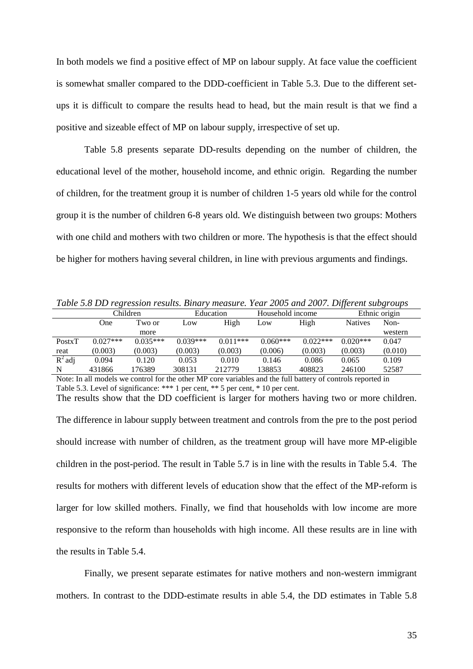In both models we find a positive effect of MP on labour supply. At face value the coefficient is somewhat smaller compared to the DDD-coefficient in Table 5.3. Due to the different setups it is difficult to compare the results head to head, but the main result is that we find a positive and sizeable effect of MP on labour supply, irrespective of set up.

Table 5.8 presents separate DD-results depending on the number of children, the educational level of the mother, household income, and ethnic origin. Regarding the number of children, for the treatment group it is number of children 1-5 years old while for the control group it is the number of children 6-8 years old. We distinguish between two groups: Mothers with one child and mothers with two children or more. The hypothesis is that the effect should be higher for mothers having several children, in line with previous arguments and findings.

| Table 5.8 DD regression results. Binary measure. Year 2005 and 2007. Different subgroups |  |  |  |
|------------------------------------------------------------------------------------------|--|--|--|
|------------------------------------------------------------------------------------------|--|--|--|

|           | Children   |            | Education  |            | Household income |            | Ethnic origin  |         |
|-----------|------------|------------|------------|------------|------------------|------------|----------------|---------|
|           | One        | Two or     | Low        | High       | Low              | High       | <b>Natives</b> | Non-    |
|           |            | more       |            |            |                  |            |                | western |
| PostxT    | $0.027***$ | $0.035***$ | $0.039***$ | $0.011***$ | $0.060***$       | $0.022***$ | $0.020***$     | 0.047   |
| reat      | (0.003)    | (0.003)    | (0.003)    | (0.003)    | (0.006)          | (0.003)    | (0.003)        | (0.010) |
| $R^2$ adj | 0.094      | 0.120      | 0.053      | 0.010      | 0.146            | 0.086      | 0.065          | 0.109   |
| N         | 431866     | 176389     | 308131     | 212779     | 138853           | 408823     | 246100         | 52587   |

Note: In all models we control for the other MP core variables and the full battery of controls reported in Table 5.3. Level of significance: \*\*\* 1 per cent, \*\* 5 per cent, \* 10 per cent. The results show that the DD coefficient is larger for mothers having two or more children.

The difference in labour supply between treatment and controls from the pre to the post period should increase with number of children, as the treatment group will have more MP-eligible children in the post-period. The result in Table 5.7 is in line with the results in Table 5.4. The results for mothers with different levels of education show that the effect of the MP-reform is larger for low skilled mothers. Finally, we find that households with low income are more responsive to the reform than households with high income. All these results are in line with the results in Table 5.4.

Finally, we present separate estimates for native mothers and non-western immigrant mothers. In contrast to the DDD-estimate results in able 5.4, the DD estimates in Table 5.8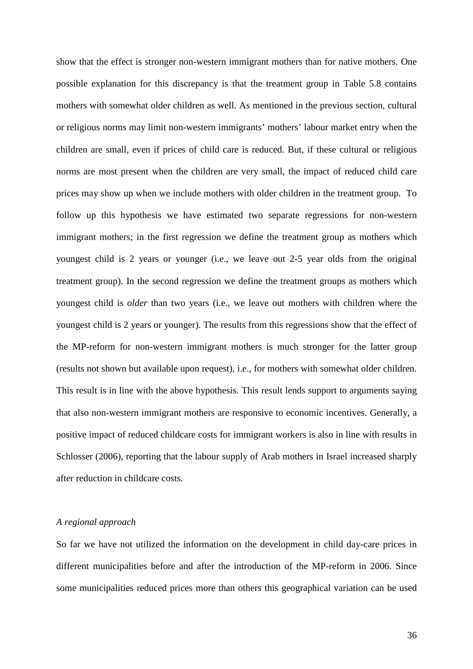show that the effect is stronger non-western immigrant mothers than for native mothers. One possible explanation for this discrepancy is that the treatment group in Table 5.8 contains mothers with somewhat older children as well. As mentioned in the previous section, cultural or religious norms may limit non-western immigrants' mothers' labour market entry when the children are small, even if prices of child care is reduced. But, if these cultural or religious norms are most present when the children are very small, the impact of reduced child care prices may show up when we include mothers with older children in the treatment group. To follow up this hypothesis we have estimated two separate regressions for non-western immigrant mothers; in the first regression we define the treatment group as mothers which youngest child is 2 years or younger (i.e., we leave out 2-5 year olds from the original treatment group). In the second regression we define the treatment groups as mothers which youngest child is *older* than two years (i.e., we leave out mothers with children where the youngest child is 2 years or younger). The results from this regressions show that the effect of the MP-reform for non-western immigrant mothers is much stronger for the latter group (results not shown but available upon request), i.e., for mothers with somewhat older children. This result is in line with the above hypothesis. This result lends support to arguments saying that also non-western immigrant mothers are responsive to economic incentives. Generally, a positive impact of reduced childcare costs for immigrant workers is also in line with results in Schlosser (2006), reporting that the labour supply of Arab mothers in Israel increased sharply after reduction in childcare costs.

#### *A regional approach*

So far we have not utilized the information on the development in child day-care prices in different municipalities before and after the introduction of the MP-reform in 2006. Since some municipalities reduced prices more than others this geographical variation can be used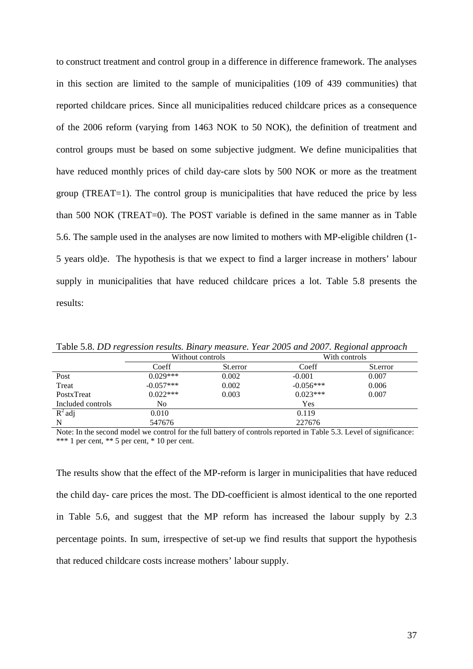to construct treatment and control group in a difference in difference framework. The analyses in this section are limited to the sample of municipalities (109 of 439 communities) that reported childcare prices. Since all municipalities reduced childcare prices as a consequence of the 2006 reform (varying from 1463 NOK to 50 NOK), the definition of treatment and control groups must be based on some subjective judgment. We define municipalities that have reduced monthly prices of child day-care slots by 500 NOK or more as the treatment group (TREAT=1). The control group is municipalities that have reduced the price by less than 500 NOK (TREAT=0). The POST variable is defined in the same manner as in Table 5.6. The sample used in the analyses are now limited to mothers with MP-eligible children (1- 5 years old)e. The hypothesis is that we expect to find a larger increase in mothers' labour supply in municipalities that have reduced childcare prices a lot. Table 5.8 presents the results:

| Tubic 5.0. DD Text contour results. Dural y measure, Tear 2005 and 2007, Itextonial approach |                  |          |               |          |  |  |  |
|----------------------------------------------------------------------------------------------|------------------|----------|---------------|----------|--|--|--|
|                                                                                              | Without controls |          | With controls |          |  |  |  |
|                                                                                              | Coeff            | St.error | Coeff         | St.error |  |  |  |
| Post                                                                                         | $0.029***$       | 0.002    | $-0.001$      | 0.007    |  |  |  |
| Treat                                                                                        | $-0.057***$      | 0.002    | $-0.056***$   | 0.006    |  |  |  |
| PostxTreat                                                                                   | $0.022***$       | 0.003    | $0.023***$    | 0.007    |  |  |  |
| Included controls                                                                            | No               |          | Yes           |          |  |  |  |
| $R^2$ adj                                                                                    | 0.010            |          | 0.119         |          |  |  |  |
| N                                                                                            | 547676           |          | 227676        |          |  |  |  |

Table 5.8. *DD regression results. Binary measure. Year 2005 and 2007. Regional approach*

Note: In the second model we control for the full battery of controls reported in Table 5.3. Level of significance: \*\*\* 1 per cent, \*\* 5 per cent, \* 10 per cent.

The results show that the effect of the MP-reform is larger in municipalities that have reduced the child day- care prices the most. The DD-coefficient is almost identical to the one reported in Table 5.6, and suggest that the MP reform has increased the labour supply by 2.3 percentage points. In sum, irrespective of set-up we find results that support the hypothesis that reduced childcare costs increase mothers' labour supply.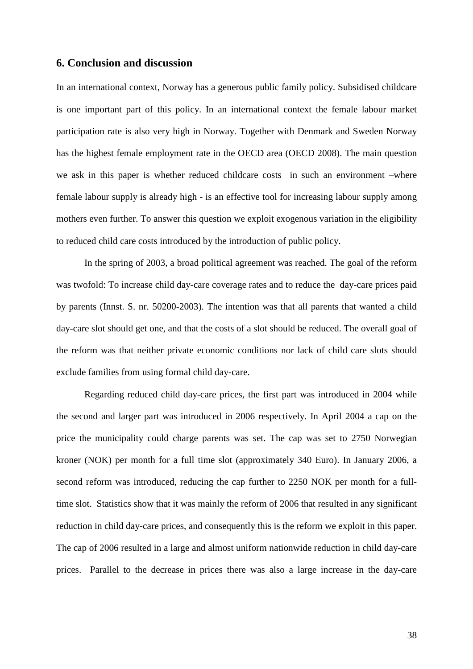## **6. Conclusion and discussion**

In an international context, Norway has a generous public family policy. Subsidised childcare is one important part of this policy. In an international context the female labour market participation rate is also very high in Norway. Together with Denmark and Sweden Norway has the highest female employment rate in the OECD area (OECD 2008). The main question we ask in this paper is whether reduced childcare costs in such an environment –where female labour supply is already high - is an effective tool for increasing labour supply among mothers even further. To answer this question we exploit exogenous variation in the eligibility to reduced child care costs introduced by the introduction of public policy.

In the spring of 2003, a broad political agreement was reached. The goal of the reform was twofold: To increase child day-care coverage rates and to reduce the day-care prices paid by parents (Innst. S. nr. 50200-2003). The intention was that all parents that wanted a child day-care slot should get one, and that the costs of a slot should be reduced. The overall goal of the reform was that neither private economic conditions nor lack of child care slots should exclude families from using formal child day-care.

Regarding reduced child day-care prices, the first part was introduced in 2004 while the second and larger part was introduced in 2006 respectively. In April 2004 a cap on the price the municipality could charge parents was set. The cap was set to 2750 Norwegian kroner (NOK) per month for a full time slot (approximately 340 Euro). In January 2006, a second reform was introduced, reducing the cap further to 2250 NOK per month for a fulltime slot. Statistics show that it was mainly the reform of 2006 that resulted in any significant reduction in child day-care prices, and consequently this is the reform we exploit in this paper. The cap of 2006 resulted in a large and almost uniform nationwide reduction in child day-care prices. Parallel to the decrease in prices there was also a large increase in the day-care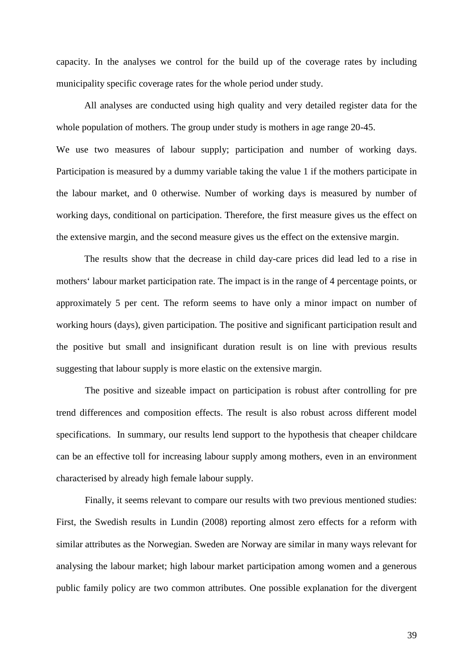capacity. In the analyses we control for the build up of the coverage rates by including municipality specific coverage rates for the whole period under study.

 All analyses are conducted using high quality and very detailed register data for the whole population of mothers. The group under study is mothers in age range 20-45. We use two measures of labour supply; participation and number of working days. Participation is measured by a dummy variable taking the value 1 if the mothers participate in the labour market, and 0 otherwise. Number of working days is measured by number of working days, conditional on participation. Therefore, the first measure gives us the effect on the extensive margin, and the second measure gives us the effect on the extensive margin.

The results show that the decrease in child day-care prices did lead led to a rise in mothers' labour market participation rate. The impact is in the range of 4 percentage points, or approximately 5 per cent. The reform seems to have only a minor impact on number of working hours (days), given participation. The positive and significant participation result and the positive but small and insignificant duration result is on line with previous results suggesting that labour supply is more elastic on the extensive margin.

The positive and sizeable impact on participation is robust after controlling for pre trend differences and composition effects. The result is also robust across different model specifications. In summary, our results lend support to the hypothesis that cheaper childcare can be an effective toll for increasing labour supply among mothers, even in an environment characterised by already high female labour supply.

Finally, it seems relevant to compare our results with two previous mentioned studies: First, the Swedish results in Lundin (2008) reporting almost zero effects for a reform with similar attributes as the Norwegian. Sweden are Norway are similar in many ways relevant for analysing the labour market; high labour market participation among women and a generous public family policy are two common attributes. One possible explanation for the divergent

39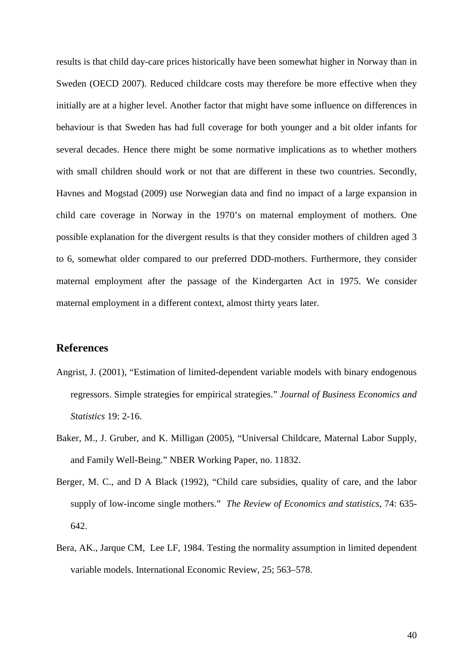results is that child day-care prices historically have been somewhat higher in Norway than in Sweden (OECD 2007). Reduced childcare costs may therefore be more effective when they initially are at a higher level. Another factor that might have some influence on differences in behaviour is that Sweden has had full coverage for both younger and a bit older infants for several decades. Hence there might be some normative implications as to whether mothers with small children should work or not that are different in these two countries. Secondly, Havnes and Mogstad (2009) use Norwegian data and find no impact of a large expansion in child care coverage in Norway in the 1970's on maternal employment of mothers. One possible explanation for the divergent results is that they consider mothers of children aged 3 to 6, somewhat older compared to our preferred DDD-mothers. Furthermore, they consider maternal employment after the passage of the Kindergarten Act in 1975. We consider maternal employment in a different context, almost thirty years later.

## **References**

- Angrist, J. (2001), "Estimation of limited-dependent variable models with binary endogenous regressors. Simple strategies for empirical strategies." *Journal of Business Economics and Statistics* 19: 2-16.
- Baker, M., J. Gruber, and K. Milligan (2005), "Universal Childcare, Maternal Labor Supply, and Family Well-Being." NBER Working Paper, no. 11832.
- Berger, M. C., and D A Black (1992), "Child care subsidies, quality of care, and the labor supply of low-income single mothers." *The Review of Economics and statistics*, 74: 635- 642.
- Bera, AK., Jarque CM, Lee LF, 1984. Testing the normality assumption in limited dependent variable models. International Economic Review, 25; 563–578.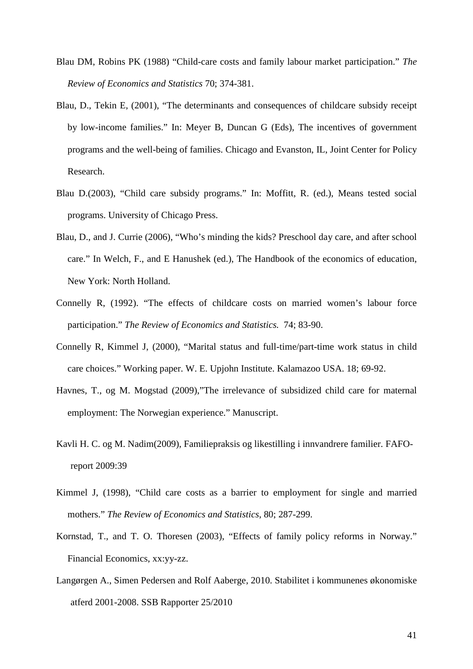- Blau DM, Robins PK (1988) "Child-care costs and family labour market participation." *The Review of Economics and Statistics* 70; 374-381.
- Blau, D., Tekin E, (2001), "The determinants and consequences of childcare subsidy receipt by low-income families." In: Meyer B, Duncan G (Eds), The incentives of government programs and the well-being of families. Chicago and Evanston, IL, Joint Center for Policy Research.
- Blau D.(2003), "Child care subsidy programs." In: Moffitt, R. (ed.), Means tested social programs. University of Chicago Press.
- Blau, D., and J. Currie (2006), "Who's minding the kids? Preschool day care, and after school care." In Welch, F., and E Hanushek (ed.), The Handbook of the economics of education, New York: North Holland.
- Connelly R, (1992). "The effects of childcare costs on married women's labour force participation." *The Review of Economics and Statistics.* 74; 83-90.
- Connelly R, Kimmel J, (2000), "Marital status and full-time/part-time work status in child care choices." Working paper. W. E. Upjohn Institute. Kalamazoo USA. 18; 69-92.
- Havnes, T., og M. Mogstad (2009),"The irrelevance of subsidized child care for maternal employment: The Norwegian experience." Manuscript.
- Kavli H. C. og M. Nadim(2009), Familiepraksis og likestilling i innvandrere familier. FAFOreport 2009:39
- Kimmel J, (1998), "Child care costs as a barrier to employment for single and married mothers." *The Review of Economics and Statistics*, 80; 287-299.
- Kornstad, T., and T. O. Thoresen (2003), "Effects of family policy reforms in Norway." Financial Economics, xx:yy-zz.
- Langørgen A., Simen Pedersen and Rolf Aaberge, 2010. Stabilitet i kommunenes økonomiske atferd 2001-2008. SSB Rapporter 25/2010